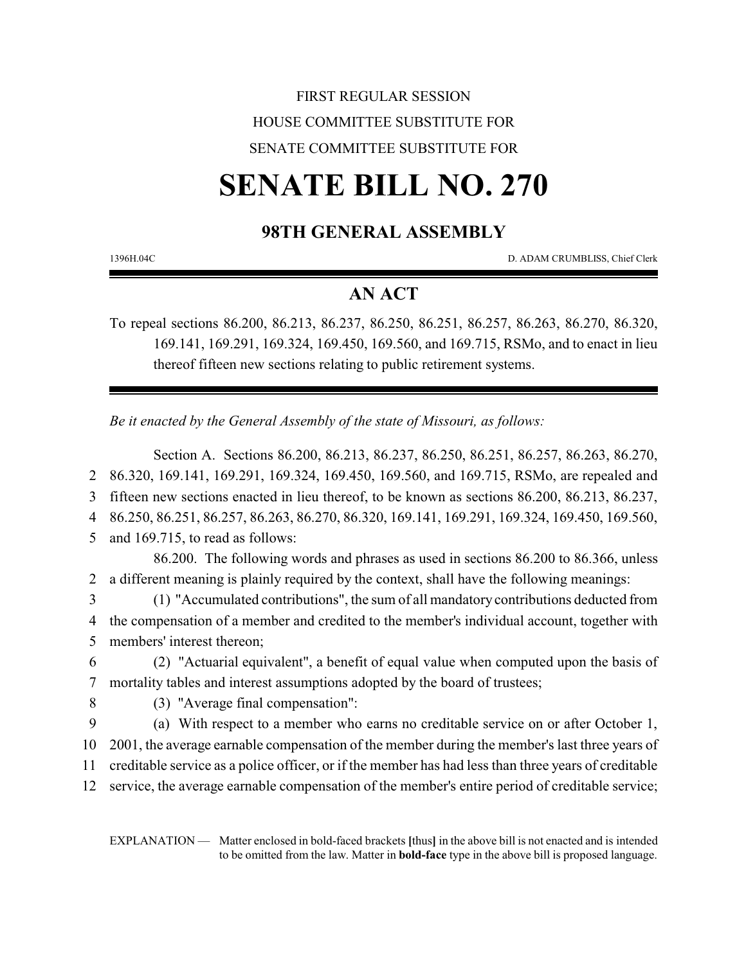## FIRST REGULAR SESSION HOUSE COMMITTEE SUBSTITUTE FOR SENATE COMMITTEE SUBSTITUTE FOR

# **SENATE BILL NO. 270**

## **98TH GENERAL ASSEMBLY**

1396H.04C D. ADAM CRUMBLISS, Chief Clerk

### **AN ACT**

To repeal sections 86.200, 86.213, 86.237, 86.250, 86.251, 86.257, 86.263, 86.270, 86.320, 169.141, 169.291, 169.324, 169.450, 169.560, and 169.715, RSMo, and to enact in lieu thereof fifteen new sections relating to public retirement systems.

*Be it enacted by the General Assembly of the state of Missouri, as follows:*

Section A. Sections 86.200, 86.213, 86.237, 86.250, 86.251, 86.257, 86.263, 86.270, 86.320, 169.141, 169.291, 169.324, 169.450, 169.560, and 169.715, RSMo, are repealed and fifteen new sections enacted in lieu thereof, to be known as sections 86.200, 86.213, 86.237, 86.250, 86.251, 86.257, 86.263, 86.270, 86.320, 169.141, 169.291, 169.324, 169.450, 169.560, and 169.715, to read as follows: 86.200. The following words and phrases as used in sections 86.200 to 86.366, unless a different meaning is plainly required by the context, shall have the following meanings: (1) "Accumulated contributions", the sum of all mandatory contributions deducted from the compensation of a member and credited to the member's individual account, together with

5 members' interest thereon;

6 (2) "Actuarial equivalent", a benefit of equal value when computed upon the basis of 7 mortality tables and interest assumptions adopted by the board of trustees;

8 (3) "Average final compensation":

9 (a) With respect to a member who earns no creditable service on or after October 1,

10 2001, the average earnable compensation of the member during the member's last three years of

11 creditable service as a police officer, or if the member has had less than three years of creditable

12 service, the average earnable compensation of the member's entire period of creditable service;

EXPLANATION — Matter enclosed in bold-faced brackets **[**thus**]** in the above bill is not enacted and is intended to be omitted from the law. Matter in **bold-face** type in the above bill is proposed language.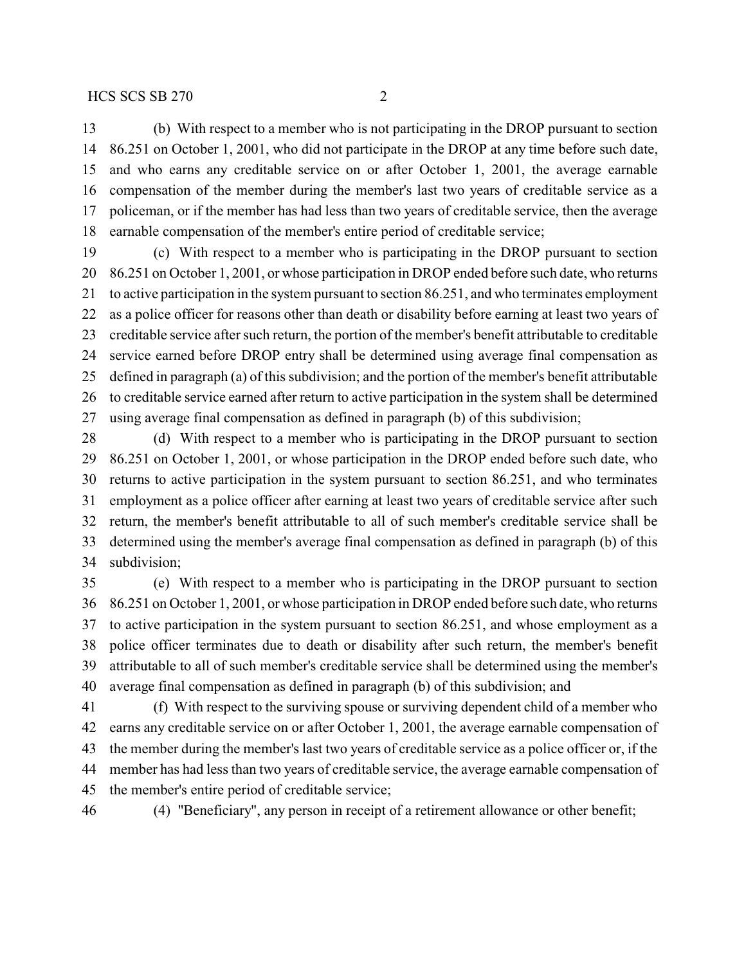(b) With respect to a member who is not participating in the DROP pursuant to section 86.251 on October 1, 2001, who did not participate in the DROP at any time before such date, and who earns any creditable service on or after October 1, 2001, the average earnable compensation of the member during the member's last two years of creditable service as a policeman, or if the member has had less than two years of creditable service, then the average earnable compensation of the member's entire period of creditable service;

 (c) With respect to a member who is participating in the DROP pursuant to section 86.251 on October 1, 2001, or whose participation in DROP ended before such date, who returns to active participation in the system pursuant to section 86.251, and who terminates employment as a police officer for reasons other than death or disability before earning at least two years of creditable service after such return, the portion of the member's benefit attributable to creditable service earned before DROP entry shall be determined using average final compensation as defined in paragraph (a) of this subdivision; and the portion of the member's benefit attributable to creditable service earned after return to active participation in the system shall be determined using average final compensation as defined in paragraph (b) of this subdivision;

 (d) With respect to a member who is participating in the DROP pursuant to section 86.251 on October 1, 2001, or whose participation in the DROP ended before such date, who returns to active participation in the system pursuant to section 86.251, and who terminates employment as a police officer after earning at least two years of creditable service after such return, the member's benefit attributable to all of such member's creditable service shall be determined using the member's average final compensation as defined in paragraph (b) of this subdivision;

 (e) With respect to a member who is participating in the DROP pursuant to section 86.251 on October 1, 2001, or whose participation in DROP ended before such date, who returns to active participation in the system pursuant to section 86.251, and whose employment as a police officer terminates due to death or disability after such return, the member's benefit attributable to all of such member's creditable service shall be determined using the member's average final compensation as defined in paragraph (b) of this subdivision; and

 (f) With respect to the surviving spouse or surviving dependent child of a member who earns any creditable service on or after October 1, 2001, the average earnable compensation of the member during the member's last two years of creditable service as a police officer or, if the member has had less than two years of creditable service, the average earnable compensation of the member's entire period of creditable service;

(4) "Beneficiary", any person in receipt of a retirement allowance or other benefit;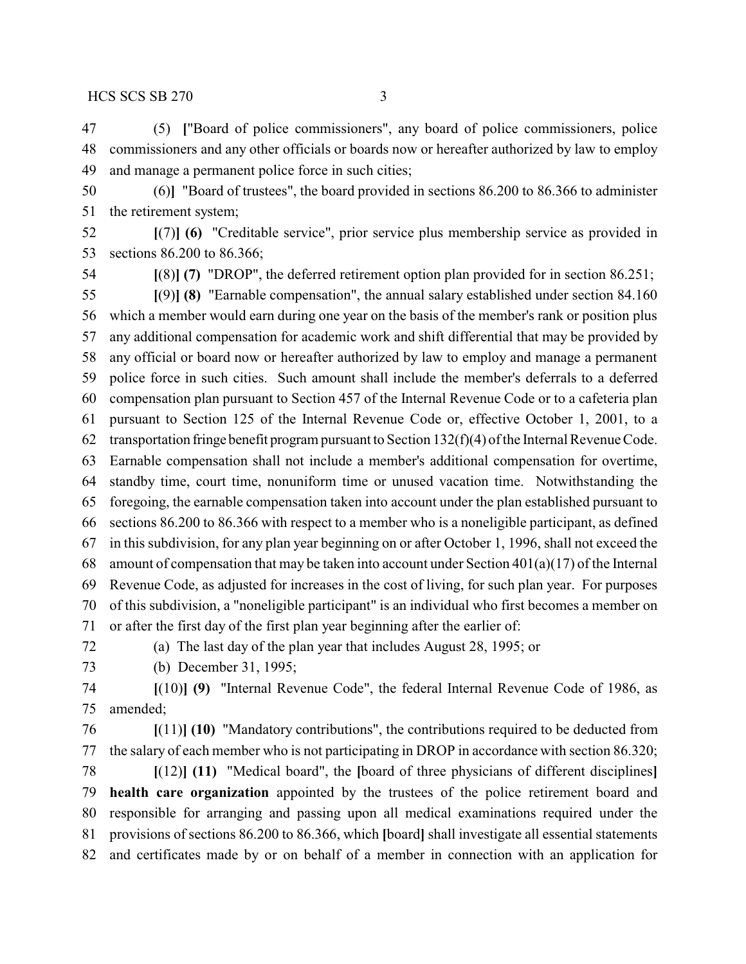(5) **[**"Board of police commissioners", any board of police commissioners, police commissioners and any other officials or boards now or hereafter authorized by law to employ and manage a permanent police force in such cities;

 (6)**]** "Board of trustees", the board provided in sections 86.200 to 86.366 to administer the retirement system;

 **[**(7)**] (6)** "Creditable service", prior service plus membership service as provided in sections 86.200 to 86.366;

**[**(8)**] (7)** "DROP", the deferred retirement option plan provided for in section 86.251;

 **[**(9)**] (8)** "Earnable compensation", the annual salary established under section 84.160 which a member would earn during one year on the basis of the member's rank or position plus any additional compensation for academic work and shift differential that may be provided by any official or board now or hereafter authorized by law to employ and manage a permanent police force in such cities. Such amount shall include the member's deferrals to a deferred compensation plan pursuant to Section 457 of the Internal Revenue Code or to a cafeteria plan pursuant to Section 125 of the Internal Revenue Code or, effective October 1, 2001, to a transportation fringe benefit program pursuant to Section 132(f)(4) of the Internal Revenue Code. Earnable compensation shall not include a member's additional compensation for overtime, standby time, court time, nonuniform time or unused vacation time. Notwithstanding the foregoing, the earnable compensation taken into account under the plan established pursuant to sections 86.200 to 86.366 with respect to a member who is a noneligible participant, as defined in this subdivision, for any plan year beginning on or after October 1, 1996, shall not exceed the 68 amount of compensation that may be taken into account under Section  $401(a)(17)$  of the Internal Revenue Code, as adjusted for increases in the cost of living, for such plan year. For purposes of this subdivision, a "noneligible participant" is an individual who first becomes a member on or after the first day of the first plan year beginning after the earlier of:

(a) The last day of the plan year that includes August 28, 1995; or

(b) December 31, 1995;

 **[**(10)**] (9)** "Internal Revenue Code", the federal Internal Revenue Code of 1986, as amended;

 **[**(11)**] (10)** "Mandatory contributions", the contributions required to be deducted from the salary of each member who is not participating in DROP in accordance with section 86.320;

 **[**(12)**] (11)** "Medical board", the **[**board of three physicians of different disciplines**] health care organization** appointed by the trustees of the police retirement board and responsible for arranging and passing upon all medical examinations required under the provisions of sections 86.200 to 86.366, which **[**board**]** shall investigate all essential statements and certificates made by or on behalf of a member in connection with an application for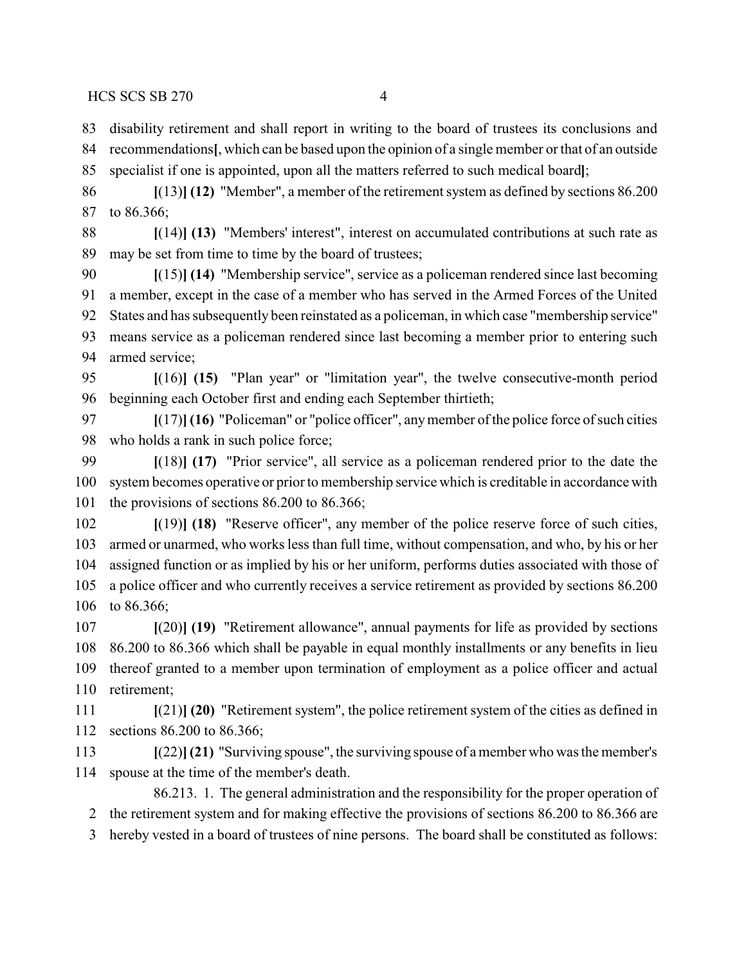disability retirement and shall report in writing to the board of trustees its conclusions and recommendations**[**, which can be based upon the opinion of a single member or that of an outside specialist if one is appointed, upon all the matters referred to such medical board**]**;

 **[**(13)**] (12)** "Member", a member of the retirement system as defined by sections 86.200 to 86.366;

 **[**(14)**] (13)** "Members' interest", interest on accumulated contributions at such rate as may be set from time to time by the board of trustees;

 **[**(15)**] (14)** "Membership service", service as a policeman rendered since last becoming a member, except in the case of a member who has served in the Armed Forces of the United States and has subsequently been reinstated as a policeman, in which case "membership service" means service as a policeman rendered since last becoming a member prior to entering such armed service;

 **[**(16)**] (15)** "Plan year" or "limitation year", the twelve consecutive-month period beginning each October first and ending each September thirtieth;

 **[**(17)**] (16)** "Policeman" or "police officer", anymember of the police force of such cities who holds a rank in such police force;

 **[**(18)**] (17)** "Prior service", all service as a policeman rendered prior to the date the system becomes operative or prior to membership service which is creditable in accordance with the provisions of sections 86.200 to 86.366;

 **[**(19)**] (18)** "Reserve officer", any member of the police reserve force of such cities, armed or unarmed, who works less than full time, without compensation, and who, by his or her assigned function or as implied by his or her uniform, performs duties associated with those of a police officer and who currently receives a service retirement as provided by sections 86.200 to 86.366;

 **[**(20)**] (19)** "Retirement allowance", annual payments for life as provided by sections 86.200 to 86.366 which shall be payable in equal monthly installments or any benefits in lieu thereof granted to a member upon termination of employment as a police officer and actual retirement;

 **[**(21)**] (20)** "Retirement system", the police retirement system of the cities as defined in sections 86.200 to 86.366;

 **[**(22)**](21)** "Surviving spouse", the surviving spouse of amember who was the member's spouse at the time of the member's death.

86.213. 1. The general administration and the responsibility for the proper operation of the retirement system and for making effective the provisions of sections 86.200 to 86.366 are

hereby vested in a board of trustees of nine persons. The board shall be constituted as follows: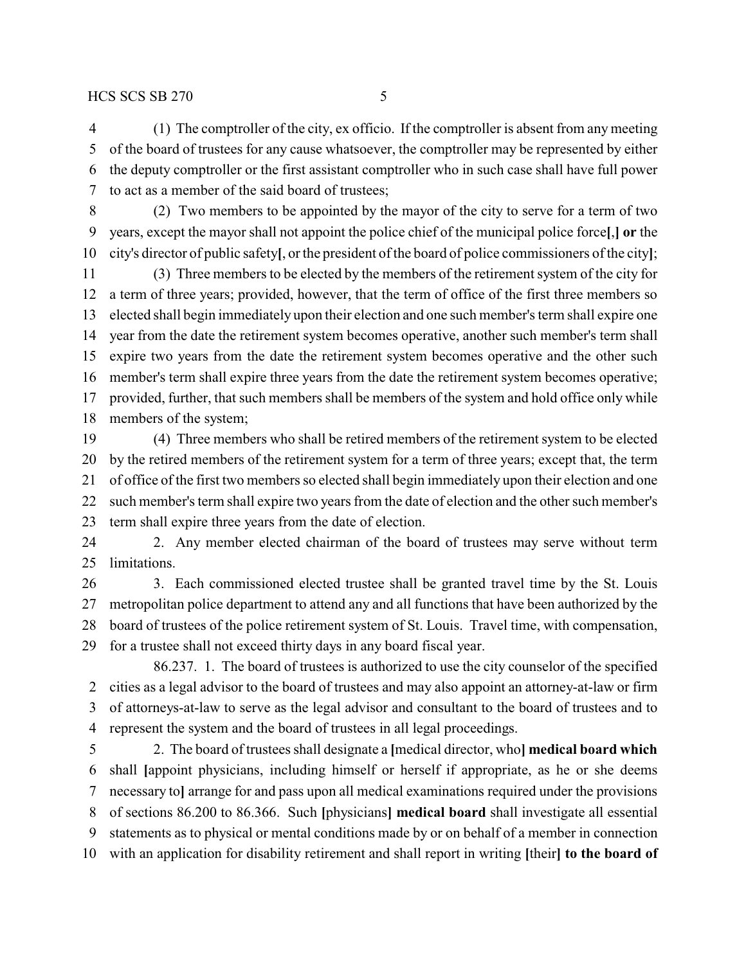(1) The comptroller of the city, ex officio. If the comptroller is absent from any meeting of the board of trustees for any cause whatsoever, the comptroller may be represented by either the deputy comptroller or the first assistant comptroller who in such case shall have full power to act as a member of the said board of trustees;

 (2) Two members to be appointed by the mayor of the city to serve for a term of two years, except the mayor shall not appoint the police chief of the municipal police force**[**,**] or** the city's director of public safety**[**, or the president of the board of police commissioners of the city**]**;

 (3) Three members to be elected by the members of the retirement system of the city for a term of three years; provided, however, that the term of office of the first three members so elected shall begin immediately upon their election and one such member's term shall expire one year from the date the retirement system becomes operative, another such member's term shall expire two years from the date the retirement system becomes operative and the other such member's term shall expire three years from the date the retirement system becomes operative; provided, further, that such members shall be members of the system and hold office only while members of the system;

 (4) Three members who shall be retired members of the retirement system to be elected by the retired members of the retirement system for a term of three years; except that, the term of office of the first two members so elected shall begin immediately upon their election and one such member's term shall expire two years from the date of election and the other such member's term shall expire three years from the date of election.

 2. Any member elected chairman of the board of trustees may serve without term limitations.

 3. Each commissioned elected trustee shall be granted travel time by the St. Louis metropolitan police department to attend any and all functions that have been authorized by the board of trustees of the police retirement system of St. Louis. Travel time, with compensation, for a trustee shall not exceed thirty days in any board fiscal year.

86.237. 1. The board of trustees is authorized to use the city counselor of the specified cities as a legal advisor to the board of trustees and may also appoint an attorney-at-law or firm of attorneys-at-law to serve as the legal advisor and consultant to the board of trustees and to represent the system and the board of trustees in all legal proceedings.

 2. The board of trustees shall designate a **[**medical director, who**] medical board which** shall **[**appoint physicians, including himself or herself if appropriate, as he or she deems necessary to**]** arrange for and pass upon all medical examinations required under the provisions of sections 86.200 to 86.366. Such **[**physicians**] medical board** shall investigate all essential statements as to physical or mental conditions made by or on behalf of a member in connection with an application for disability retirement and shall report in writing **[**their**] to the board of**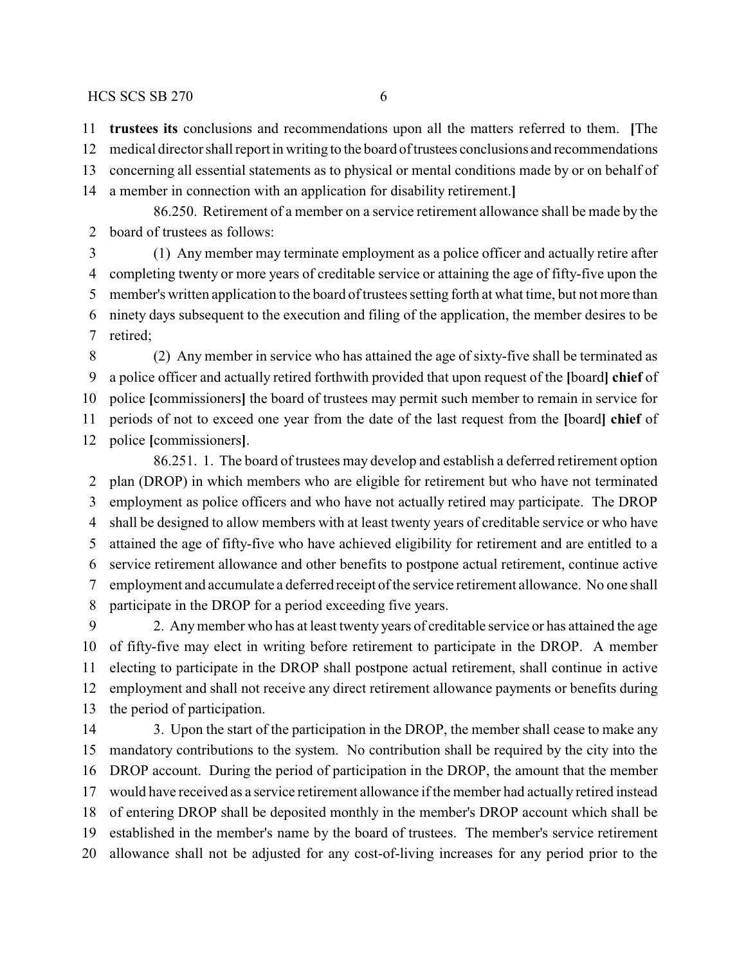**trustees its** conclusions and recommendations upon all the matters referred to them. **[**The

medical director shall report in writing to the board of trustees conclusions and recommendations

concerning all essential statements as to physical or mental conditions made by or on behalf of

a member in connection with an application for disability retirement.**]**

86.250. Retirement of a member on a service retirement allowance shall be made by the board of trustees as follows:

 (1) Any member may terminate employment as a police officer and actually retire after completing twenty or more years of creditable service or attaining the age of fifty-five upon the member's written application to the board of trustees setting forth at what time, but not more than ninety days subsequent to the execution and filing of the application, the member desires to be retired;

 (2) Any member in service who has attained the age of sixty-five shall be terminated as a police officer and actually retired forthwith provided that upon request of the **[**board**] chief** of police **[**commissioners**]** the board of trustees may permit such member to remain in service for periods of not to exceed one year from the date of the last request from the **[**board**] chief** of police **[**commissioners**]**.

86.251. 1. The board of trustees may develop and establish a deferred retirement option plan (DROP) in which members who are eligible for retirement but who have not terminated employment as police officers and who have not actually retired may participate. The DROP shall be designed to allow members with at least twenty years of creditable service or who have attained the age of fifty-five who have achieved eligibility for retirement and are entitled to a service retirement allowance and other benefits to postpone actual retirement, continue active employment and accumulate a deferred receipt of the service retirement allowance. No one shall participate in the DROP for a period exceeding five years.

 2. Anymember who has at least twenty years of creditable service or has attained the age of fifty-five may elect in writing before retirement to participate in the DROP. A member electing to participate in the DROP shall postpone actual retirement, shall continue in active employment and shall not receive any direct retirement allowance payments or benefits during the period of participation.

14 3. Upon the start of the participation in the DROP, the member shall cease to make any mandatory contributions to the system. No contribution shall be required by the city into the DROP account. During the period of participation in the DROP, the amount that the member would have received as a service retirement allowance if the member had actually retired instead of entering DROP shall be deposited monthly in the member's DROP account which shall be established in the member's name by the board of trustees. The member's service retirement allowance shall not be adjusted for any cost-of-living increases for any period prior to the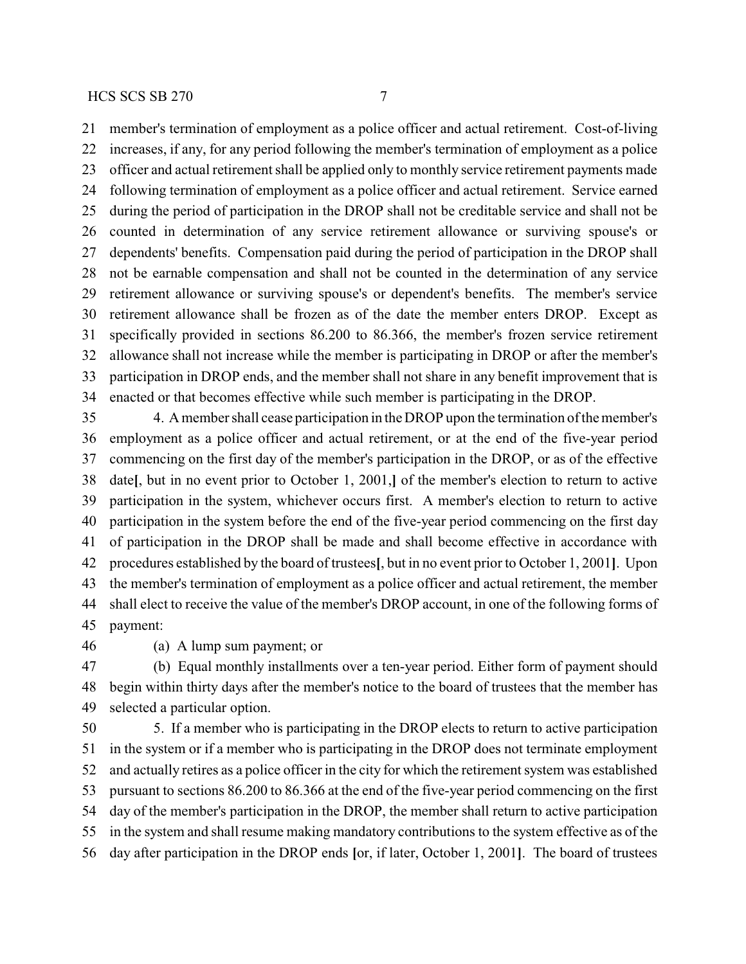member's termination of employment as a police officer and actual retirement. Cost-of-living increases, if any, for any period following the member's termination of employment as a police officer and actual retirement shall be applied only to monthly service retirement payments made following termination of employment as a police officer and actual retirement. Service earned during the period of participation in the DROP shall not be creditable service and shall not be counted in determination of any service retirement allowance or surviving spouse's or dependents' benefits. Compensation paid during the period of participation in the DROP shall not be earnable compensation and shall not be counted in the determination of any service retirement allowance or surviving spouse's or dependent's benefits. The member's service retirement allowance shall be frozen as of the date the member enters DROP. Except as specifically provided in sections 86.200 to 86.366, the member's frozen service retirement allowance shall not increase while the member is participating in DROP or after the member's participation in DROP ends, and the member shall not share in any benefit improvement that is enacted or that becomes effective while such member is participating in the DROP.

 4. A member shall cease participation in the DROP upon the termination of the member's employment as a police officer and actual retirement, or at the end of the five-year period commencing on the first day of the member's participation in the DROP, or as of the effective date**[**, but in no event prior to October 1, 2001,**]** of the member's election to return to active participation in the system, whichever occurs first. A member's election to return to active participation in the system before the end of the five-year period commencing on the first day of participation in the DROP shall be made and shall become effective in accordance with procedures established by the board of trustees**[**, but in no event prior to October 1, 2001**]**. Upon the member's termination of employment as a police officer and actual retirement, the member shall elect to receive the value of the member's DROP account, in one of the following forms of payment:

(a) A lump sum payment; or

 (b) Equal monthly installments over a ten-year period. Either form of payment should begin within thirty days after the member's notice to the board of trustees that the member has selected a particular option.

 5. If a member who is participating in the DROP elects to return to active participation in the system or if a member who is participating in the DROP does not terminate employment and actually retires as a police officer in the city for which the retirement system was established pursuant to sections 86.200 to 86.366 at the end of the five-year period commencing on the first day of the member's participation in the DROP, the member shall return to active participation in the system and shall resume making mandatory contributions to the system effective as of the day after participation in the DROP ends **[**or, if later, October 1, 2001**]**. The board of trustees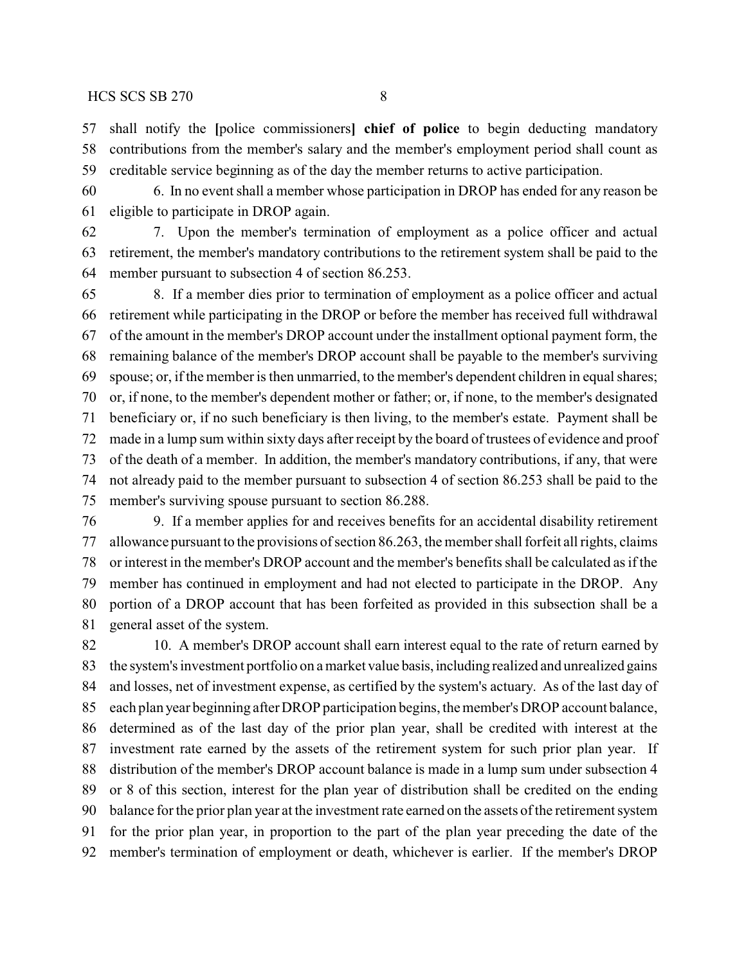shall notify the **[**police commissioners**] chief of police** to begin deducting mandatory contributions from the member's salary and the member's employment period shall count as creditable service beginning as of the day the member returns to active participation.

 6. In no event shall a member whose participation in DROP has ended for any reason be eligible to participate in DROP again.

 7. Upon the member's termination of employment as a police officer and actual retirement, the member's mandatory contributions to the retirement system shall be paid to the member pursuant to subsection 4 of section 86.253.

 8. If a member dies prior to termination of employment as a police officer and actual retirement while participating in the DROP or before the member has received full withdrawal of the amount in the member's DROP account under the installment optional payment form, the remaining balance of the member's DROP account shall be payable to the member's surviving spouse; or, if the member is then unmarried, to the member's dependent children in equal shares; or, if none, to the member's dependent mother or father; or, if none, to the member's designated beneficiary or, if no such beneficiary is then living, to the member's estate. Payment shall be made in a lump sum within sixty days after receipt by the board of trustees of evidence and proof of the death of a member. In addition, the member's mandatory contributions, if any, that were not already paid to the member pursuant to subsection 4 of section 86.253 shall be paid to the member's surviving spouse pursuant to section 86.288.

 9. If a member applies for and receives benefits for an accidental disability retirement allowance pursuant to the provisions of section 86.263, the member shall forfeit all rights, claims or interest in the member's DROP account and the member's benefits shall be calculated as if the member has continued in employment and had not elected to participate in the DROP. Any portion of a DROP account that has been forfeited as provided in this subsection shall be a general asset of the system.

82 10. A member's DROP account shall earn interest equal to the rate of return earned by 83 the system's investment portfolio on a market value basis, including realized and unrealized gains and losses, net of investment expense, as certified by the system's actuary. As of the last day of each plan year beginning after DROP participation begins, the member's DROP account balance, determined as of the last day of the prior plan year, shall be credited with interest at the investment rate earned by the assets of the retirement system for such prior plan year. If distribution of the member's DROP account balance is made in a lump sum under subsection 4 or 8 of this section, interest for the plan year of distribution shall be credited on the ending balance for the prior plan year at the investment rate earned on the assets of the retirement system for the prior plan year, in proportion to the part of the plan year preceding the date of the member's termination of employment or death, whichever is earlier. If the member's DROP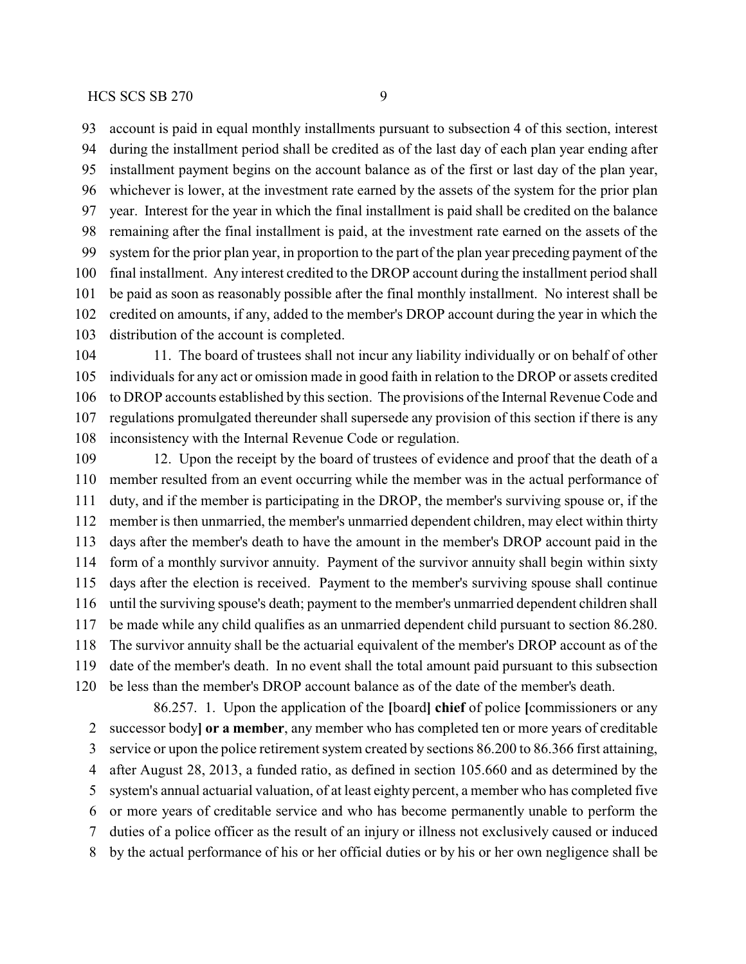account is paid in equal monthly installments pursuant to subsection 4 of this section, interest during the installment period shall be credited as of the last day of each plan year ending after installment payment begins on the account balance as of the first or last day of the plan year, whichever is lower, at the investment rate earned by the assets of the system for the prior plan year. Interest for the year in which the final installment is paid shall be credited on the balance remaining after the final installment is paid, at the investment rate earned on the assets of the system for the prior plan year, in proportion to the part of the plan year preceding payment of the final installment. Any interest credited to the DROP account during the installment period shall be paid as soon as reasonably possible after the final monthly installment. No interest shall be credited on amounts, if any, added to the member's DROP account during the year in which the distribution of the account is completed.

 11. The board of trustees shall not incur any liability individually or on behalf of other individuals for any act or omission made in good faith in relation to the DROP or assets credited to DROP accounts established by this section. The provisions of the Internal Revenue Code and regulations promulgated thereunder shall supersede any provision of this section if there is any inconsistency with the Internal Revenue Code or regulation.

 12. Upon the receipt by the board of trustees of evidence and proof that the death of a member resulted from an event occurring while the member was in the actual performance of duty, and if the member is participating in the DROP, the member's surviving spouse or, if the member is then unmarried, the member's unmarried dependent children, may elect within thirty days after the member's death to have the amount in the member's DROP account paid in the form of a monthly survivor annuity. Payment of the survivor annuity shall begin within sixty days after the election is received. Payment to the member's surviving spouse shall continue until the surviving spouse's death; payment to the member's unmarried dependent children shall be made while any child qualifies as an unmarried dependent child pursuant to section 86.280. The survivor annuity shall be the actuarial equivalent of the member's DROP account as of the date of the member's death. In no event shall the total amount paid pursuant to this subsection be less than the member's DROP account balance as of the date of the member's death.

86.257. 1. Upon the application of the **[**board**] chief** of police **[**commissioners or any successor body**] or a member**, any member who has completed ten or more years of creditable service or upon the police retirement system created by sections 86.200 to 86.366 first attaining, after August 28, 2013, a funded ratio, as defined in section 105.660 and as determined by the system's annual actuarial valuation, of at least eighty percent, a member who has completed five or more years of creditable service and who has become permanently unable to perform the duties of a police officer as the result of an injury or illness not exclusively caused or induced by the actual performance of his or her official duties or by his or her own negligence shall be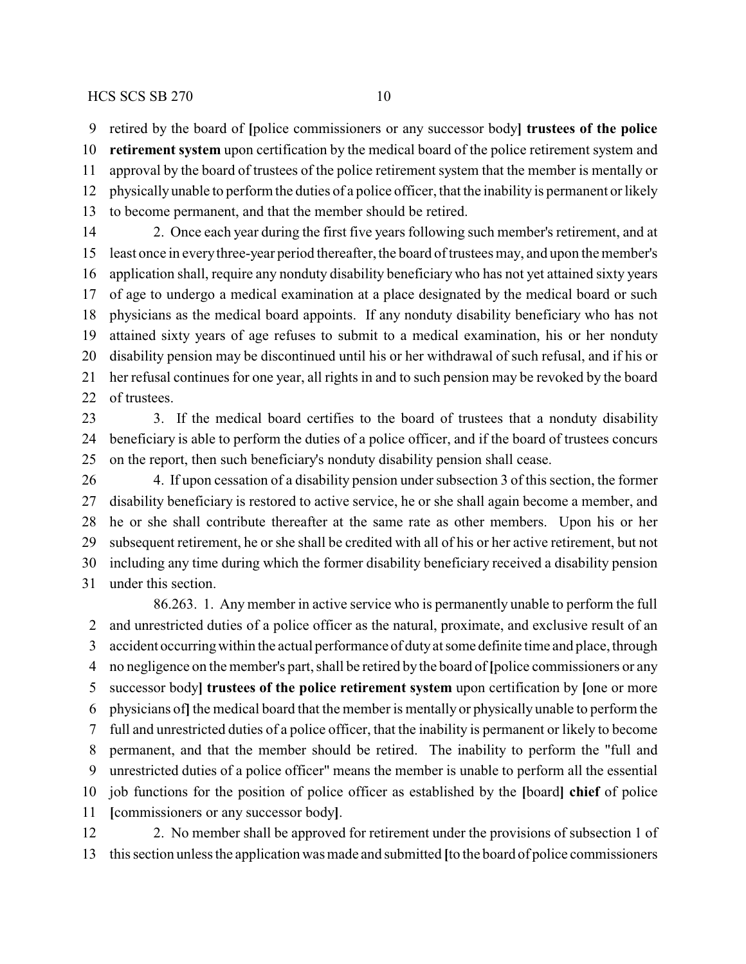retired by the board of **[**police commissioners or any successor body**] trustees of the police**

 **retirement system** upon certification by the medical board of the police retirement system and approval by the board of trustees of the police retirement system that the member is mentally or physicallyunable to perform the duties of a police officer, that the inability is permanent or likely to become permanent, and that the member should be retired.

 2. Once each year during the first five years following such member's retirement, and at least once in everythree-year period thereafter, the board of trustees may, and upon the member's application shall, require any nonduty disability beneficiary who has not yet attained sixty years of age to undergo a medical examination at a place designated by the medical board or such physicians as the medical board appoints. If any nonduty disability beneficiary who has not attained sixty years of age refuses to submit to a medical examination, his or her nonduty disability pension may be discontinued until his or her withdrawal of such refusal, and if his or her refusal continues for one year, all rights in and to such pension may be revoked by the board of trustees.

23 3. If the medical board certifies to the board of trustees that a nonduty disability beneficiary is able to perform the duties of a police officer, and if the board of trustees concurs on the report, then such beneficiary's nonduty disability pension shall cease.

 4. If upon cessation of a disability pension under subsection 3 of this section, the former disability beneficiary is restored to active service, he or she shall again become a member, and he or she shall contribute thereafter at the same rate as other members. Upon his or her subsequent retirement, he or she shall be credited with all of his or her active retirement, but not including any time during which the former disability beneficiary received a disability pension under this section.

86.263. 1. Any member in active service who is permanently unable to perform the full and unrestricted duties of a police officer as the natural, proximate, and exclusive result of an accident occurringwithin the actual performance of dutyat some definite time and place, through no negligence on the member's part, shall be retired bythe board of **[**police commissioners or any successor body**] trustees of the police retirement system** upon certification by **[**one or more physicians of**]**the medical board that the member is mentally or physically unable to perform the full and unrestricted duties of a police officer, that the inability is permanent or likely to become permanent, and that the member should be retired. The inability to perform the "full and unrestricted duties of a police officer" means the member is unable to perform all the essential job functions for the position of police officer as established by the **[**board**] chief** of police **[**commissioners or any successor body**]**.

 2. No member shall be approved for retirement under the provisions of subsection 1 of this section unless the application was made and submitted **[**to the board of police commissioners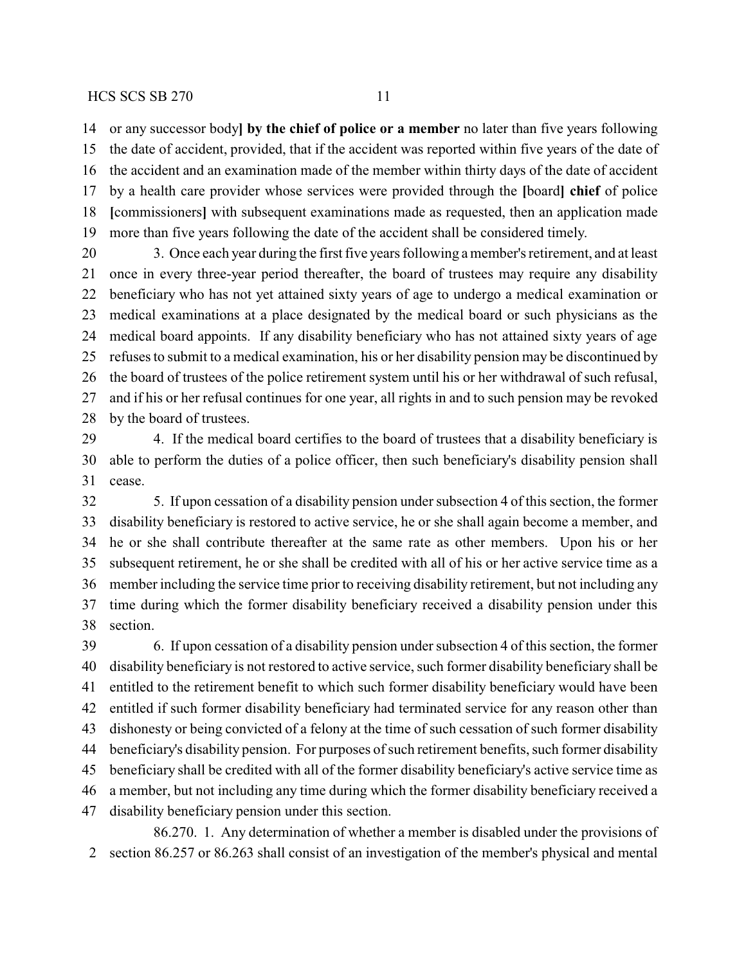or any successor body**] by the chief of police or a member** no later than five years following the date of accident, provided, that if the accident was reported within five years of the date of the accident and an examination made of the member within thirty days of the date of accident by a health care provider whose services were provided through the **[**board**] chief** of police **[**commissioners**]** with subsequent examinations made as requested, then an application made more than five years following the date of the accident shall be considered timely.

 3. Once each year during the first five years following a member's retirement, and at least once in every three-year period thereafter, the board of trustees may require any disability beneficiary who has not yet attained sixty years of age to undergo a medical examination or medical examinations at a place designated by the medical board or such physicians as the medical board appoints. If any disability beneficiary who has not attained sixty years of age refuses to submit to a medical examination, his or her disability pension may be discontinued by the board of trustees of the police retirement system until his or her withdrawal of such refusal, and if his or her refusal continues for one year, all rights in and to such pension may be revoked by the board of trustees.

 4. If the medical board certifies to the board of trustees that a disability beneficiary is able to perform the duties of a police officer, then such beneficiary's disability pension shall cease.

 5. If upon cessation of a disability pension under subsection 4 of this section, the former disability beneficiary is restored to active service, he or she shall again become a member, and he or she shall contribute thereafter at the same rate as other members. Upon his or her subsequent retirement, he or she shall be credited with all of his or her active service time as a member including the service time prior to receiving disability retirement, but not including any time during which the former disability beneficiary received a disability pension under this section.

 6. If upon cessation of a disability pension under subsection 4 of this section, the former disability beneficiary is not restored to active service, such former disability beneficiary shall be entitled to the retirement benefit to which such former disability beneficiary would have been entitled if such former disability beneficiary had terminated service for any reason other than dishonesty or being convicted of a felony at the time of such cessation of such former disability beneficiary's disability pension. For purposes of such retirement benefits, such former disability beneficiary shall be credited with all of the former disability beneficiary's active service time as a member, but not including any time during which the former disability beneficiary received a disability beneficiary pension under this section.

86.270. 1. Any determination of whether a member is disabled under the provisions of section 86.257 or 86.263 shall consist of an investigation of the member's physical and mental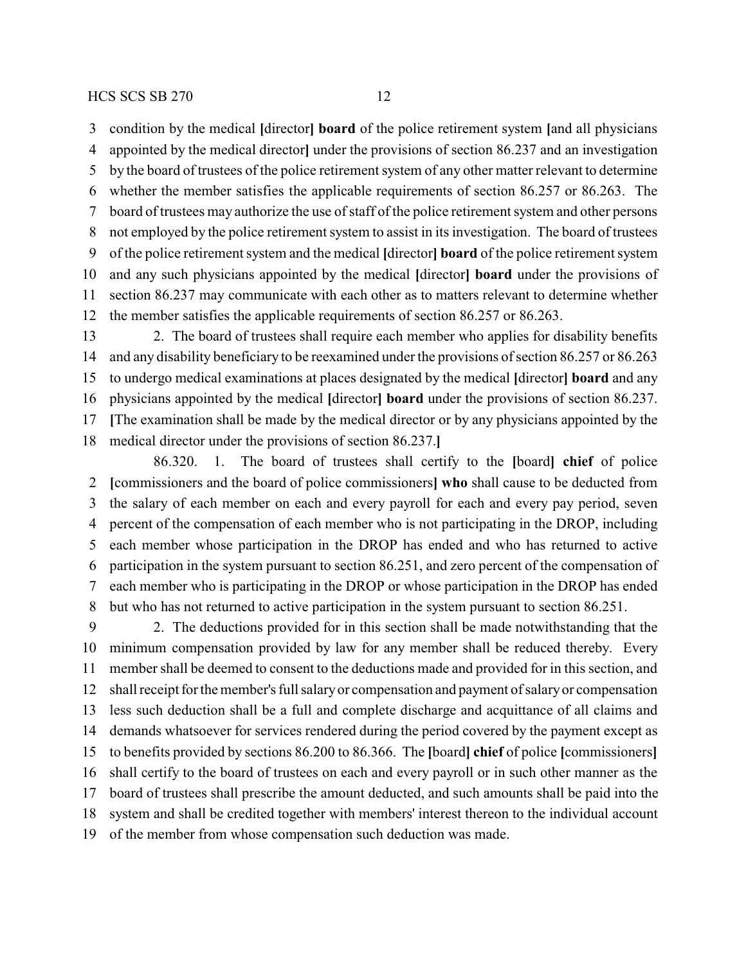condition by the medical **[**director**] board** of the police retirement system **[**and all physicians appointed by the medical director**]** under the provisions of section 86.237 and an investigation by the board of trustees of the police retirement system of any other matter relevant to determine whether the member satisfies the applicable requirements of section 86.257 or 86.263. The board of trustees may authorize the use of staff of the police retirement system and other persons not employed by the police retirement system to assist in its investigation. The board of trustees of the police retirement system and the medical **[**director**] board** of the police retirement system and any such physicians appointed by the medical **[**director**] board** under the provisions of section 86.237 may communicate with each other as to matters relevant to determine whether the member satisfies the applicable requirements of section 86.257 or 86.263.

 2. The board of trustees shall require each member who applies for disability benefits and any disability beneficiary to be reexamined under the provisions of section 86.257 or 86.263 to undergo medical examinations at places designated by the medical **[**director**] board** and any physicians appointed by the medical **[**director**] board** under the provisions of section 86.237. **[**The examination shall be made by the medical director or by any physicians appointed by the medical director under the provisions of section 86.237.**]**

86.320. 1. The board of trustees shall certify to the **[**board**] chief** of police **[**commissioners and the board of police commissioners**] who** shall cause to be deducted from the salary of each member on each and every payroll for each and every pay period, seven percent of the compensation of each member who is not participating in the DROP, including each member whose participation in the DROP has ended and who has returned to active participation in the system pursuant to section 86.251, and zero percent of the compensation of each member who is participating in the DROP or whose participation in the DROP has ended but who has not returned to active participation in the system pursuant to section 86.251.

 2. The deductions provided for in this section shall be made notwithstanding that the minimum compensation provided by law for any member shall be reduced thereby. Every member shall be deemed to consent to the deductions made and provided for in this section, and shall receipt for the member's full salaryor compensation and payment of salaryor compensation less such deduction shall be a full and complete discharge and acquittance of all claims and demands whatsoever for services rendered during the period covered by the payment except as to benefits provided by sections 86.200 to 86.366. The **[**board**] chief** of police **[**commissioners**]** shall certify to the board of trustees on each and every payroll or in such other manner as the board of trustees shall prescribe the amount deducted, and such amounts shall be paid into the system and shall be credited together with members' interest thereon to the individual account of the member from whose compensation such deduction was made.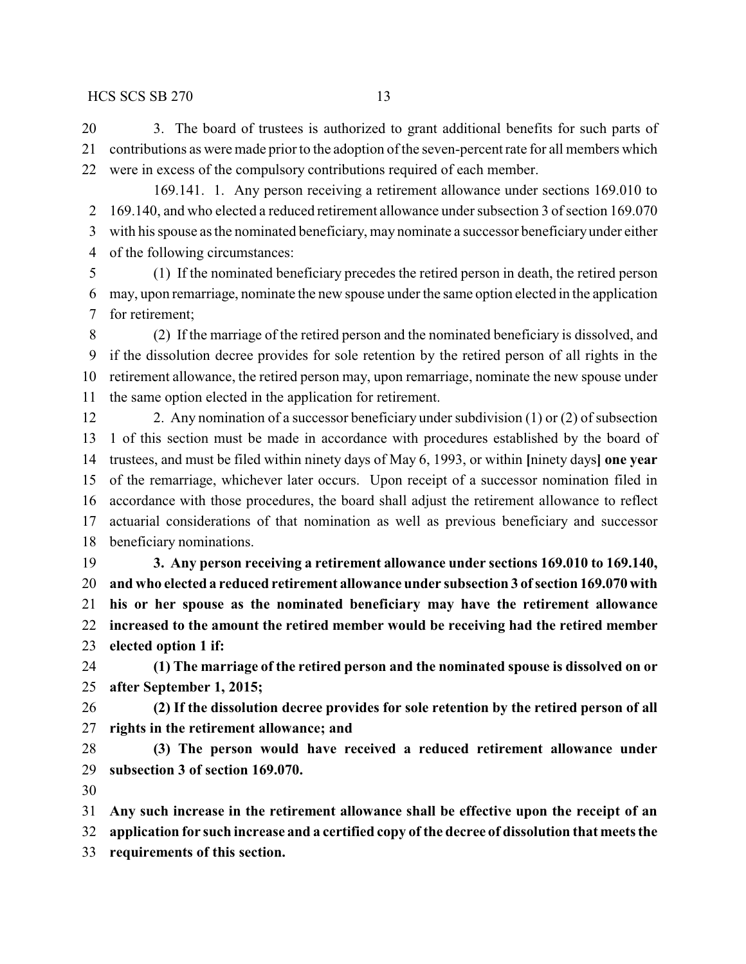3. The board of trustees is authorized to grant additional benefits for such parts of contributions as were made prior to the adoption of the seven-percent rate for all members which were in excess of the compulsory contributions required of each member.

169.141. 1. Any person receiving a retirement allowance under sections 169.010 to 169.140, and who elected a reduced retirement allowance under subsection 3 of section 169.070 with his spouse as the nominated beneficiary, may nominate a successor beneficiaryunder either of the following circumstances:

 (1) If the nominated beneficiary precedes the retired person in death, the retired person may, upon remarriage, nominate the new spouse under the same option elected in the application for retirement;

 (2) If the marriage of the retired person and the nominated beneficiary is dissolved, and if the dissolution decree provides for sole retention by the retired person of all rights in the retirement allowance, the retired person may, upon remarriage, nominate the new spouse under the same option elected in the application for retirement.

 2. Any nomination of a successor beneficiary under subdivision (1) or (2) of subsection 1 of this section must be made in accordance with procedures established by the board of trustees, and must be filed within ninety days of May 6, 1993, or within **[**ninety days**] one year** of the remarriage, whichever later occurs. Upon receipt of a successor nomination filed in accordance with those procedures, the board shall adjust the retirement allowance to reflect actuarial considerations of that nomination as well as previous beneficiary and successor beneficiary nominations.

 **3. Any person receiving a retirement allowance under sections 169.010 to 169.140, and who elected a reduced retirement allowance under subsection 3 ofsection 169.070 with his or her spouse as the nominated beneficiary may have the retirement allowance increased to the amount the retired member would be receiving had the retired member elected option 1 if:**

 **(1) The marriage of the retired person and the nominated spouse is dissolved on or after September 1, 2015;**

 **(2) If the dissolution decree provides for sole retention by the retired person of all rights in the retirement allowance; and**

 **(3) The person would have received a reduced retirement allowance under subsection 3 of section 169.070.**

**Any such increase in the retirement allowance shall be effective upon the receipt of an**

**application for such increase and a certified copy of the decree of dissolution that meets the**

**requirements of this section.**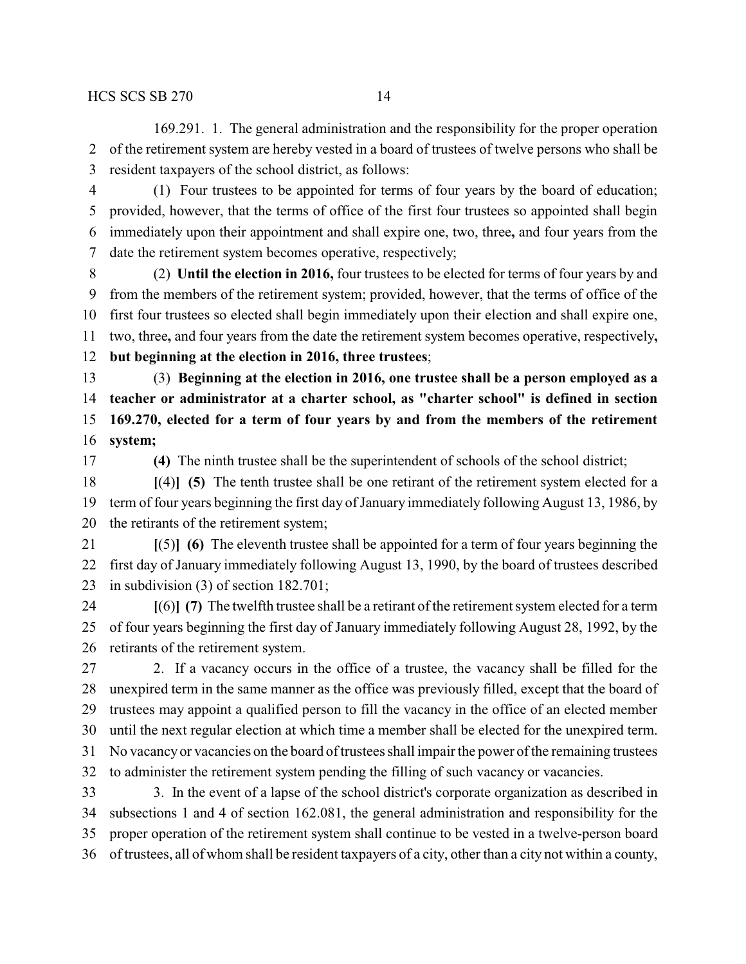169.291. 1. The general administration and the responsibility for the proper operation of the retirement system are hereby vested in a board of trustees of twelve persons who shall be resident taxpayers of the school district, as follows:

 (1) Four trustees to be appointed for terms of four years by the board of education; provided, however, that the terms of office of the first four trustees so appointed shall begin immediately upon their appointment and shall expire one, two, three**,** and four years from the date the retirement system becomes operative, respectively;

 (2) **Until the election in 2016,** four trustees to be elected for terms of four years by and from the members of the retirement system; provided, however, that the terms of office of the first four trustees so elected shall begin immediately upon their election and shall expire one, two, three**,** and four years from the date the retirement system becomes operative, respectively**, but beginning at the election in 2016, three trustees**;

 (3) **Beginning at the election in 2016, one trustee shall be a person employed as a teacher or administrator at a charter school, as "charter school" is defined in section 169.270, elected for a term of four years by and from the members of the retirement system;**

**(4)** The ninth trustee shall be the superintendent of schools of the school district;

 **[**(4)**] (5)** The tenth trustee shall be one retirant of the retirement system elected for a term of four years beginning the first day of January immediately following August 13, 1986, by the retirants of the retirement system;

 **[**(5)**] (6)** The eleventh trustee shall be appointed for a term of four years beginning the first day of January immediately following August 13, 1990, by the board of trustees described in subdivision (3) of section 182.701;

 **[**(6)**] (7)** The twelfth trustee shall be a retirant of the retirement system elected for a term of four years beginning the first day of January immediately following August 28, 1992, by the retirants of the retirement system.

 2. If a vacancy occurs in the office of a trustee, the vacancy shall be filled for the unexpired term in the same manner as the office was previously filled, except that the board of trustees may appoint a qualified person to fill the vacancy in the office of an elected member until the next regular election at which time a member shall be elected for the unexpired term. No vacancyor vacancies on the board of trustees shall impair the power of the remaining trustees to administer the retirement system pending the filling of such vacancy or vacancies. 3. In the event of a lapse of the school district's corporate organization as described in

 subsections 1 and 4 of section 162.081, the general administration and responsibility for the proper operation of the retirement system shall continue to be vested in a twelve-person board of trustees, all of whom shall be resident taxpayers of a city, other than a city not within a county,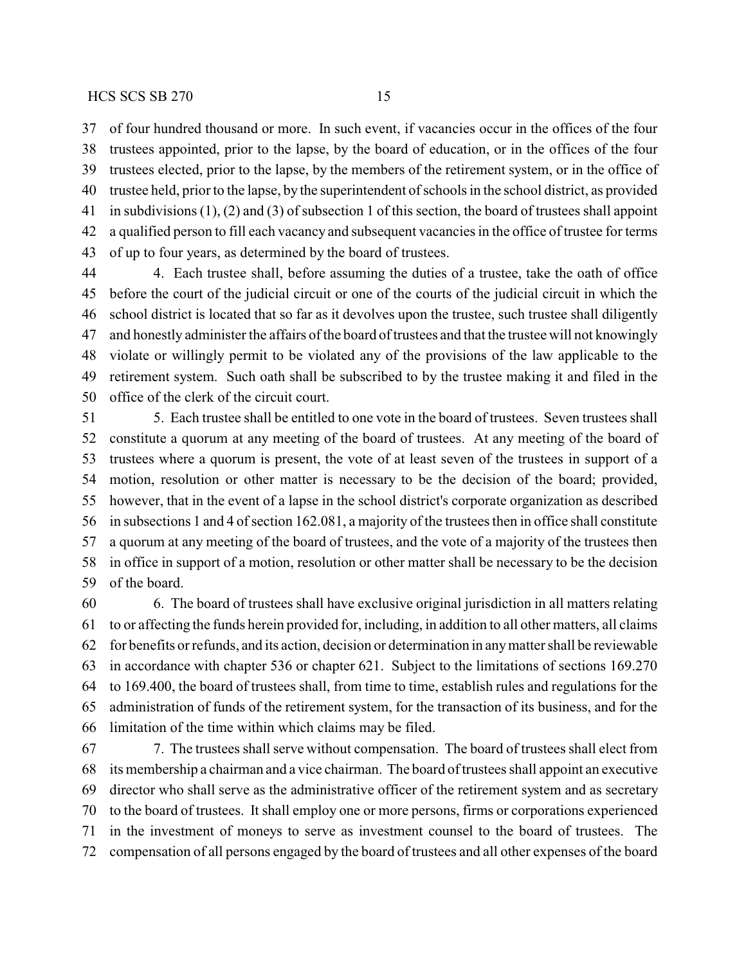of four hundred thousand or more. In such event, if vacancies occur in the offices of the four trustees appointed, prior to the lapse, by the board of education, or in the offices of the four trustees elected, prior to the lapse, by the members of the retirement system, or in the office of trustee held, prior to the lapse, by the superintendent of schools in the school district, as provided in subdivisions (1), (2) and (3) of subsection 1 of this section, the board of trustees shall appoint a qualified person to fill each vacancy and subsequent vacancies in the office of trustee for terms of up to four years, as determined by the board of trustees.

 4. Each trustee shall, before assuming the duties of a trustee, take the oath of office before the court of the judicial circuit or one of the courts of the judicial circuit in which the school district is located that so far as it devolves upon the trustee, such trustee shall diligently and honestly administer the affairs of the board of trustees and that the trustee will not knowingly violate or willingly permit to be violated any of the provisions of the law applicable to the retirement system. Such oath shall be subscribed to by the trustee making it and filed in the office of the clerk of the circuit court.

 5. Each trustee shall be entitled to one vote in the board of trustees. Seven trustees shall constitute a quorum at any meeting of the board of trustees. At any meeting of the board of trustees where a quorum is present, the vote of at least seven of the trustees in support of a motion, resolution or other matter is necessary to be the decision of the board; provided, however, that in the event of a lapse in the school district's corporate organization as described in subsections 1 and 4 of section 162.081, a majority of the trustees then in office shall constitute a quorum at any meeting of the board of trustees, and the vote of a majority of the trustees then in office in support of a motion, resolution or other matter shall be necessary to be the decision of the board.

 6. The board of trustees shall have exclusive original jurisdiction in all matters relating to or affecting the funds herein provided for, including, in addition to all other matters, all claims for benefits or refunds, and its action, decision or determination in anymatter shall be reviewable in accordance with chapter 536 or chapter 621. Subject to the limitations of sections 169.270 to 169.400, the board of trustees shall, from time to time, establish rules and regulations for the administration of funds of the retirement system, for the transaction of its business, and for the limitation of the time within which claims may be filed.

 7. The trustees shall serve without compensation. The board of trustees shall elect from its membership a chairman and a vice chairman. The board of trustees shall appoint an executive director who shall serve as the administrative officer of the retirement system and as secretary to the board of trustees. It shall employ one or more persons, firms or corporations experienced in the investment of moneys to serve as investment counsel to the board of trustees. The compensation of all persons engaged by the board of trustees and all other expenses of the board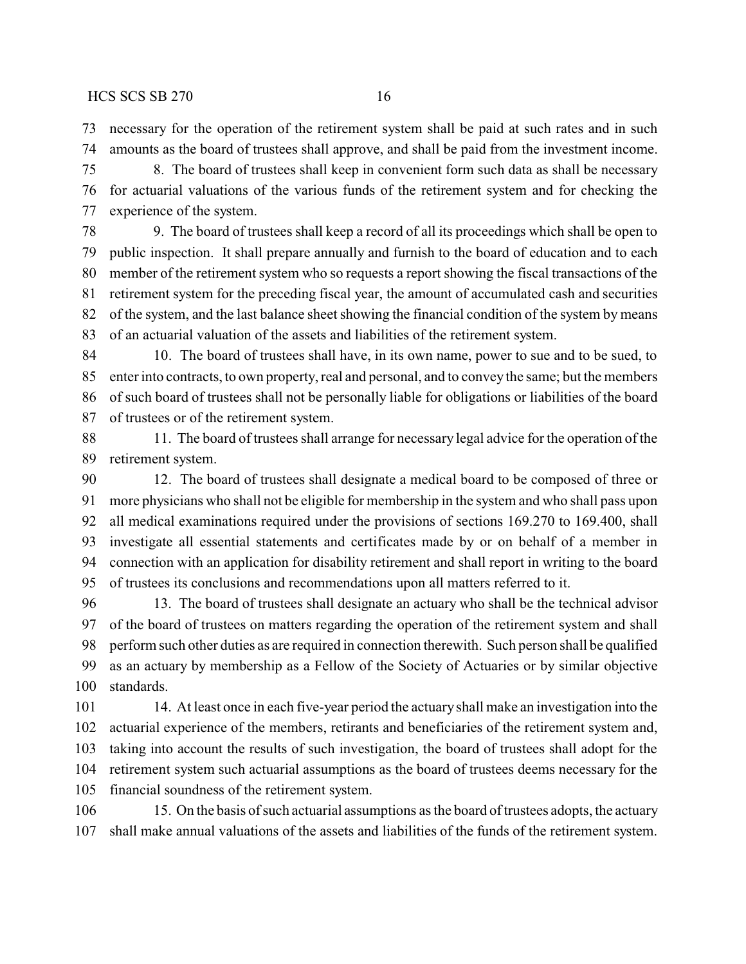necessary for the operation of the retirement system shall be paid at such rates and in such amounts as the board of trustees shall approve, and shall be paid from the investment income.

 8. The board of trustees shall keep in convenient form such data as shall be necessary for actuarial valuations of the various funds of the retirement system and for checking the experience of the system.

 9. The board of trustees shall keep a record of all its proceedings which shall be open to public inspection. It shall prepare annually and furnish to the board of education and to each member of the retirement system who so requests a report showing the fiscal transactions of the retirement system for the preceding fiscal year, the amount of accumulated cash and securities of the system, and the last balance sheet showing the financial condition of the system by means of an actuarial valuation of the assets and liabilities of the retirement system.

 10. The board of trustees shall have, in its own name, power to sue and to be sued, to enter into contracts, to own property, real and personal, and to convey the same; but the members of such board of trustees shall not be personally liable for obligations or liabilities of the board of trustees or of the retirement system.

 11. The board of trustees shall arrange for necessary legal advice for the operation of the retirement system.

 12. The board of trustees shall designate a medical board to be composed of three or more physicians who shall not be eligible for membership in the system and who shall pass upon all medical examinations required under the provisions of sections 169.270 to 169.400, shall investigate all essential statements and certificates made by or on behalf of a member in connection with an application for disability retirement and shall report in writing to the board of trustees its conclusions and recommendations upon all matters referred to it.

 13. The board of trustees shall designate an actuary who shall be the technical advisor of the board of trustees on matters regarding the operation of the retirement system and shall perform such other duties as are required in connection therewith. Such person shall be qualified as an actuary by membership as a Fellow of the Society of Actuaries or by similar objective standards.

 14. At least once in each five-year period the actuaryshall make an investigation into the actuarial experience of the members, retirants and beneficiaries of the retirement system and, taking into account the results of such investigation, the board of trustees shall adopt for the retirement system such actuarial assumptions as the board of trustees deems necessary for the financial soundness of the retirement system.

106 15. On the basis of such actuarial assumptions as the board of trustees adopts, the actuary shall make annual valuations of the assets and liabilities of the funds of the retirement system.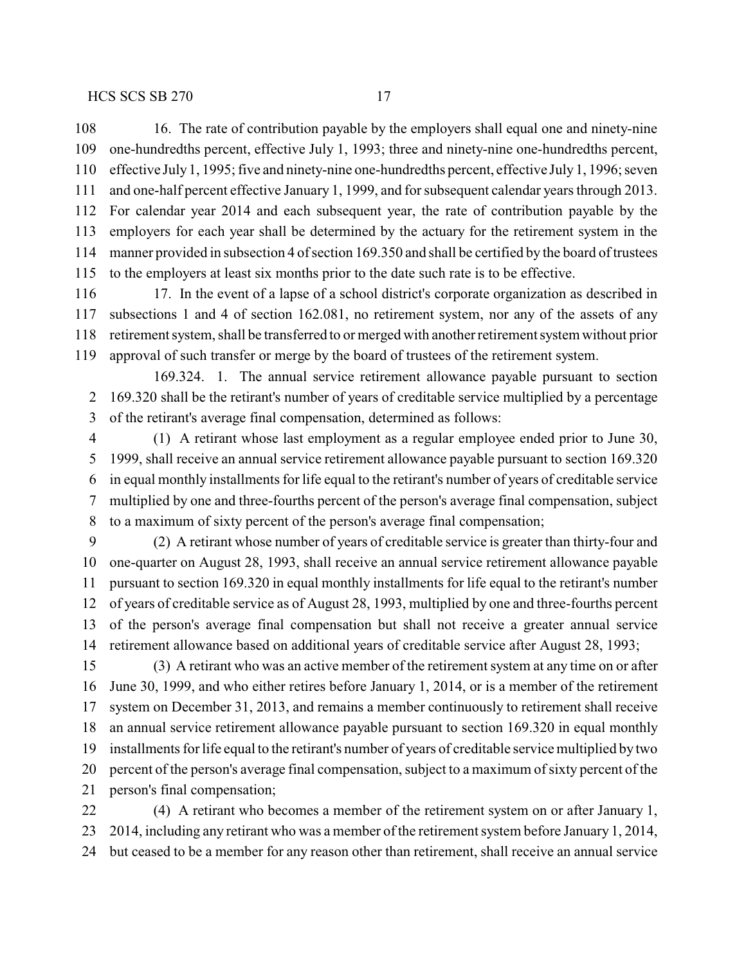16. The rate of contribution payable by the employers shall equal one and ninety-nine one-hundredths percent, effective July 1, 1993; three and ninety-nine one-hundredths percent, effective July1, 1995; five and ninety-nine one-hundredths percent, effective July1, 1996; seven and one-half percent effective January 1, 1999, and for subsequent calendar years through 2013. For calendar year 2014 and each subsequent year, the rate of contribution payable by the employers for each year shall be determined by the actuary for the retirement system in the manner provided in subsection 4 of section 169.350 and shall be certified by the board of trustees to the employers at least six months prior to the date such rate is to be effective.

116 17. In the event of a lapse of a school district's corporate organization as described in subsections 1 and 4 of section 162.081, no retirement system, nor any of the assets of any retirement system, shall be transferred to or merged with another retirement system without prior approval of such transfer or merge by the board of trustees of the retirement system.

169.324. 1. The annual service retirement allowance payable pursuant to section 169.320 shall be the retirant's number of years of creditable service multiplied by a percentage of the retirant's average final compensation, determined as follows:

 (1) A retirant whose last employment as a regular employee ended prior to June 30, 1999, shall receive an annual service retirement allowance payable pursuant to section 169.320 in equal monthly installments for life equal to the retirant's number of years of creditable service multiplied by one and three-fourths percent of the person's average final compensation, subject to a maximum of sixty percent of the person's average final compensation;

 (2) A retirant whose number of years of creditable service is greater than thirty-four and one-quarter on August 28, 1993, shall receive an annual service retirement allowance payable pursuant to section 169.320 in equal monthly installments for life equal to the retirant's number of years of creditable service as of August 28, 1993, multiplied by one and three-fourths percent of the person's average final compensation but shall not receive a greater annual service retirement allowance based on additional years of creditable service after August 28, 1993;

 (3) A retirant who was an active member of the retirement system at any time on or after June 30, 1999, and who either retires before January 1, 2014, or is a member of the retirement system on December 31, 2013, and remains a member continuously to retirement shall receive an annual service retirement allowance payable pursuant to section 169.320 in equal monthly installments for life equal to the retirant's number of years of creditable service multiplied by two percent of the person's average final compensation, subject to a maximum of sixty percent of the person's final compensation;

 (4) A retirant who becomes a member of the retirement system on or after January 1, 2014, including any retirant who was a member of the retirement system before January 1, 2014, but ceased to be a member for any reason other than retirement, shall receive an annual service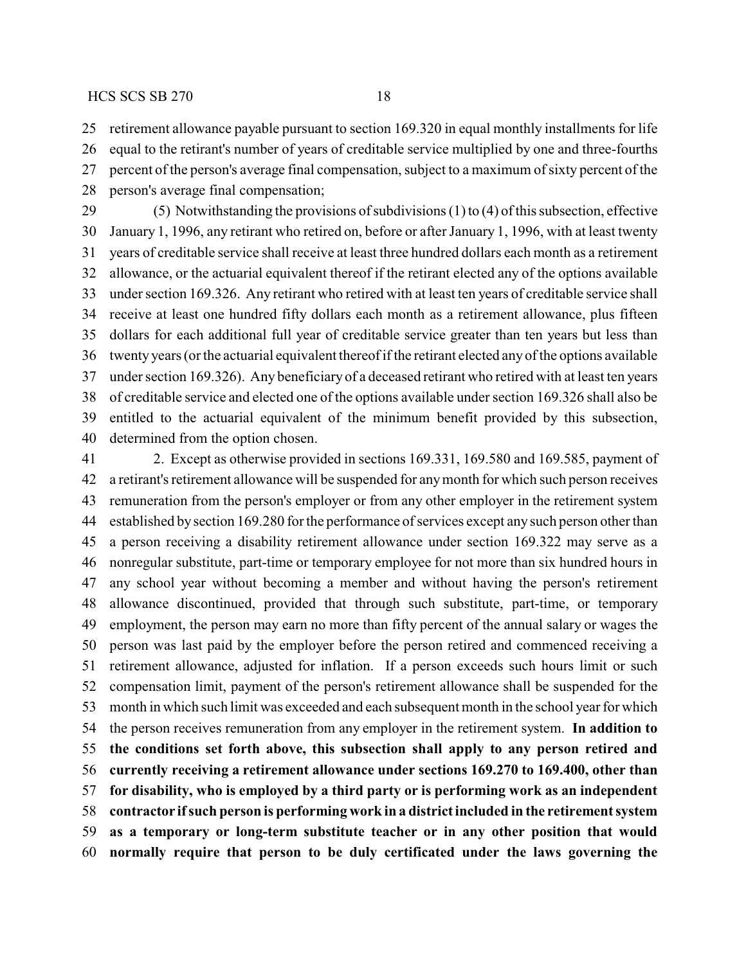retirement allowance payable pursuant to section 169.320 in equal monthly installments for life

 equal to the retirant's number of years of creditable service multiplied by one and three-fourths percent of the person's average final compensation, subject to a maximum of sixty percent of the

person's average final compensation;

 (5) Notwithstanding the provisions of subdivisions (1) to (4) of this subsection, effective January 1, 1996, any retirant who retired on, before or after January 1, 1996, with at least twenty years of creditable service shall receive at least three hundred dollars each month as a retirement allowance, or the actuarial equivalent thereof if the retirant elected any of the options available under section 169.326. Any retirant who retired with at least ten years of creditable service shall receive at least one hundred fifty dollars each month as a retirement allowance, plus fifteen dollars for each additional full year of creditable service greater than ten years but less than twenty years (or the actuarial equivalent thereof if the retirant elected any of the options available under section 169.326). Any beneficiaryof a deceased retirant who retired with at least ten years of creditable service and elected one of the options available under section 169.326 shall also be entitled to the actuarial equivalent of the minimum benefit provided by this subsection, determined from the option chosen.

 2. Except as otherwise provided in sections 169.331, 169.580 and 169.585, payment of a retirant's retirement allowance will be suspended for anymonth for which such person receives remuneration from the person's employer or from any other employer in the retirement system established by section 169.280 for the performance of services except any such person other than a person receiving a disability retirement allowance under section 169.322 may serve as a nonregular substitute, part-time or temporary employee for not more than six hundred hours in any school year without becoming a member and without having the person's retirement allowance discontinued, provided that through such substitute, part-time, or temporary employment, the person may earn no more than fifty percent of the annual salary or wages the person was last paid by the employer before the person retired and commenced receiving a retirement allowance, adjusted for inflation. If a person exceeds such hours limit or such compensation limit, payment of the person's retirement allowance shall be suspended for the month in which such limit was exceeded and each subsequent month in the school year for which the person receives remuneration from any employer in the retirement system. **In addition to the conditions set forth above, this subsection shall apply to any person retired and currently receiving a retirement allowance under sections 169.270 to 169.400, other than for disability, who is employed by a third party or is performing work as an independent contractor ifsuch person is performing work in a district included in the retirement system as a temporary or long-term substitute teacher or in any other position that would normally require that person to be duly certificated under the laws governing the**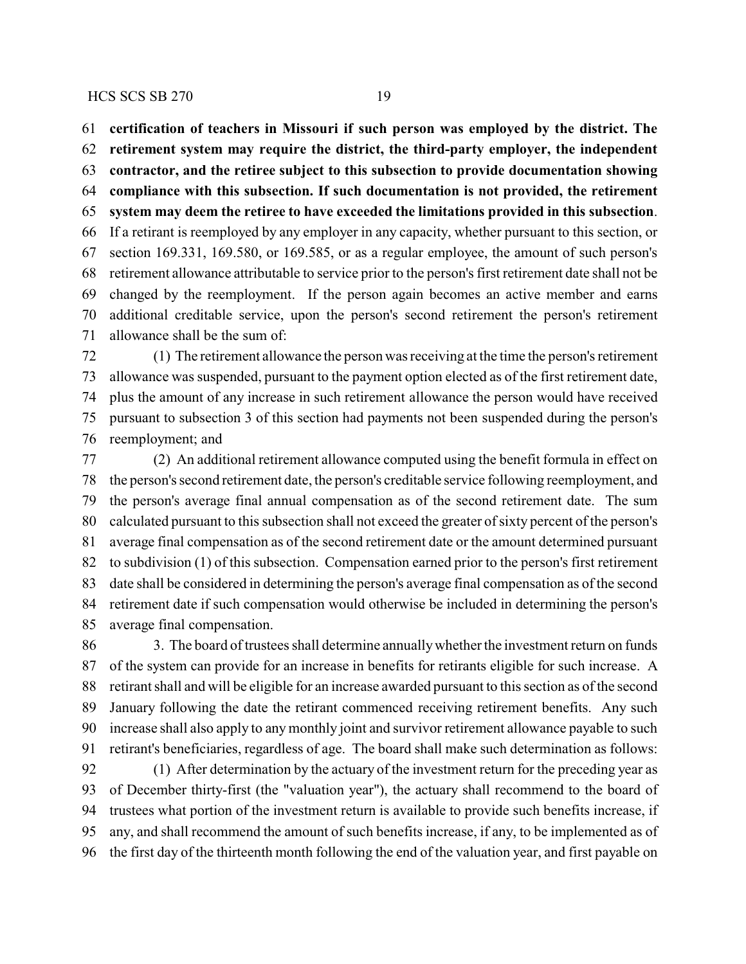**certification of teachers in Missouri if such person was employed by the district. The**

**retirement system may require the district, the third-party employer, the independent**

**contractor, and the retiree subject to this subsection to provide documentation showing**

 **compliance with this subsection. If such documentation is not provided, the retirement system may deem the retiree to have exceeded the limitations provided in this subsection**. If a retirant is reemployed by any employer in any capacity, whether pursuant to this section, or section 169.331, 169.580, or 169.585, or as a regular employee, the amount of such person's retirement allowance attributable to service prior to the person's first retirement date shall not be changed by the reemployment. If the person again becomes an active member and earns

 additional creditable service, upon the person's second retirement the person's retirement allowance shall be the sum of:

 (1) The retirement allowance the person was receiving at the time the person's retirement allowance was suspended, pursuant to the payment option elected as of the first retirement date, plus the amount of any increase in such retirement allowance the person would have received pursuant to subsection 3 of this section had payments not been suspended during the person's reemployment; and

 (2) An additional retirement allowance computed using the benefit formula in effect on the person's second retirement date, the person's creditable service following reemployment, and the person's average final annual compensation as of the second retirement date. The sum calculated pursuant to this subsection shall not exceed the greater of sixty percent of the person's average final compensation as of the second retirement date or the amount determined pursuant to subdivision (1) of this subsection. Compensation earned prior to the person's first retirement date shall be considered in determining the person's average final compensation as of the second retirement date if such compensation would otherwise be included in determining the person's average final compensation.

 3. The board of trustees shall determine annuallywhether the investment return on funds of the system can provide for an increase in benefits for retirants eligible for such increase. A retirant shall and will be eligible for an increase awarded pursuant to this section as of the second January following the date the retirant commenced receiving retirement benefits. Any such increase shall also apply to any monthly joint and survivor retirement allowance payable to such retirant's beneficiaries, regardless of age. The board shall make such determination as follows: (1) After determination by the actuary of the investment return for the preceding year as of December thirty-first (the "valuation year"), the actuary shall recommend to the board of trustees what portion of the investment return is available to provide such benefits increase, if

any, and shall recommend the amount of such benefits increase, if any, to be implemented as of

the first day of the thirteenth month following the end of the valuation year, and first payable on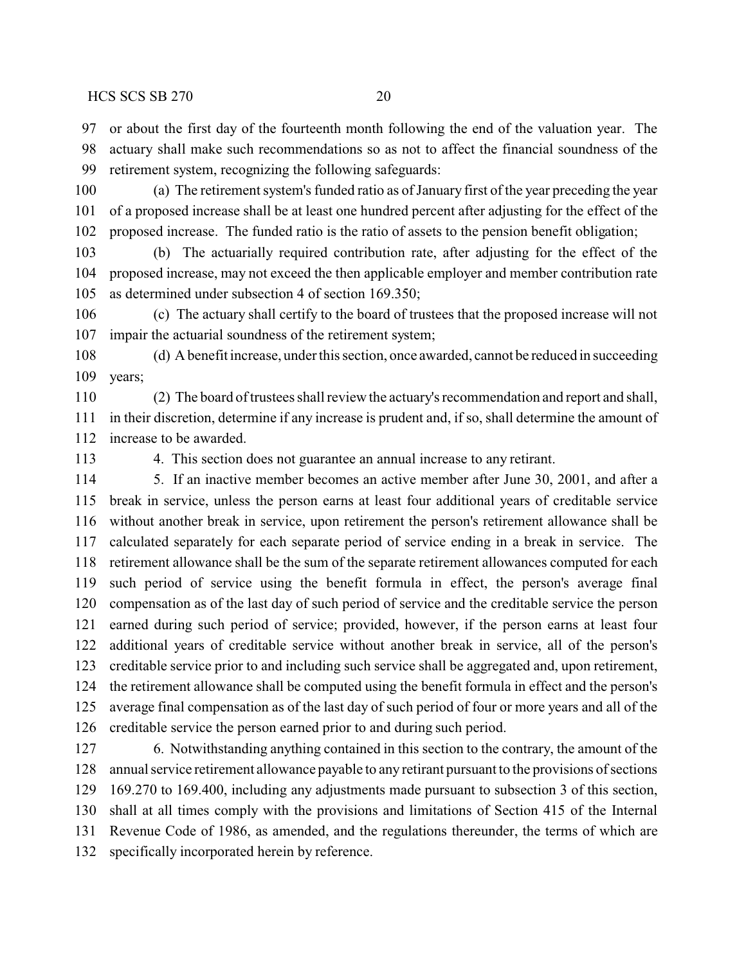or about the first day of the fourteenth month following the end of the valuation year. The actuary shall make such recommendations so as not to affect the financial soundness of the retirement system, recognizing the following safeguards:

 (a) The retirement system's funded ratio as of January first of the year preceding the year of a proposed increase shall be at least one hundred percent after adjusting for the effect of the proposed increase. The funded ratio is the ratio of assets to the pension benefit obligation;

 (b) The actuarially required contribution rate, after adjusting for the effect of the proposed increase, may not exceed the then applicable employer and member contribution rate as determined under subsection 4 of section 169.350;

 (c) The actuary shall certify to the board of trustees that the proposed increase will not impair the actuarial soundness of the retirement system;

 (d) A benefit increase, under this section, once awarded, cannot be reduced in succeeding years;

 (2) The board of trustees shall review the actuary's recommendation and report and shall, in their discretion, determine if any increase is prudent and, if so, shall determine the amount of increase to be awarded.

4. This section does not guarantee an annual increase to any retirant.

 5. If an inactive member becomes an active member after June 30, 2001, and after a break in service, unless the person earns at least four additional years of creditable service without another break in service, upon retirement the person's retirement allowance shall be calculated separately for each separate period of service ending in a break in service. The retirement allowance shall be the sum of the separate retirement allowances computed for each such period of service using the benefit formula in effect, the person's average final compensation as of the last day of such period of service and the creditable service the person earned during such period of service; provided, however, if the person earns at least four additional years of creditable service without another break in service, all of the person's creditable service prior to and including such service shall be aggregated and, upon retirement, the retirement allowance shall be computed using the benefit formula in effect and the person's average final compensation as of the last day of such period of four or more years and all of the creditable service the person earned prior to and during such period.

 6. Notwithstanding anything contained in this section to the contrary, the amount of the annual service retirement allowance payable to any retirant pursuant to the provisions of sections 169.270 to 169.400, including any adjustments made pursuant to subsection 3 of this section, shall at all times comply with the provisions and limitations of Section 415 of the Internal Revenue Code of 1986, as amended, and the regulations thereunder, the terms of which are specifically incorporated herein by reference.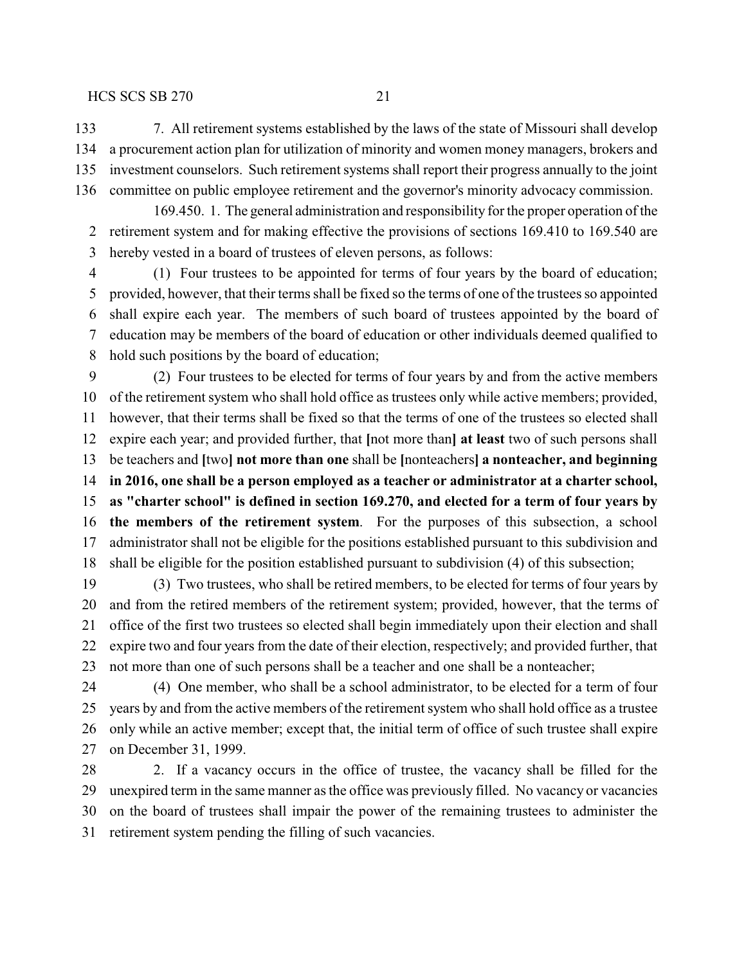7. All retirement systems established by the laws of the state of Missouri shall develop a procurement action plan for utilization of minority and women money managers, brokers and investment counselors. Such retirement systems shall report their progress annually to the joint committee on public employee retirement and the governor's minority advocacy commission.

169.450. 1. The general administration and responsibility for the proper operation of the retirement system and for making effective the provisions of sections 169.410 to 169.540 are hereby vested in a board of trustees of eleven persons, as follows:

 (1) Four trustees to be appointed for terms of four years by the board of education; provided, however, that their terms shall be fixed so the terms of one of the trustees so appointed shall expire each year. The members of such board of trustees appointed by the board of education may be members of the board of education or other individuals deemed qualified to hold such positions by the board of education;

 (2) Four trustees to be elected for terms of four years by and from the active members of the retirement system who shall hold office as trustees only while active members; provided, however, that their terms shall be fixed so that the terms of one of the trustees so elected shall expire each year; and provided further, that **[**not more than**] at least** two of such persons shall be teachers and **[**two**] not more than one** shall be **[**nonteachers**] a nonteacher, and beginning in 2016, one shall be a person employed as a teacher or administrator at a charter school, as "charter school" is defined in section 169.270, and elected for a term of four years by the members of the retirement system**. For the purposes of this subsection, a school administrator shall not be eligible for the positions established pursuant to this subdivision and shall be eligible for the position established pursuant to subdivision (4) of this subsection;

 (3) Two trustees, who shall be retired members, to be elected for terms of four years by and from the retired members of the retirement system; provided, however, that the terms of office of the first two trustees so elected shall begin immediately upon their election and shall expire two and four years from the date of their election, respectively; and provided further, that not more than one of such persons shall be a teacher and one shall be a nonteacher;

 (4) One member, who shall be a school administrator, to be elected for a term of four years by and from the active members of the retirement system who shall hold office as a trustee only while an active member; except that, the initial term of office of such trustee shall expire on December 31, 1999.

28 2. If a vacancy occurs in the office of trustee, the vacancy shall be filled for the unexpired term in the same manner as the office was previously filled. No vacancy or vacancies on the board of trustees shall impair the power of the remaining trustees to administer the retirement system pending the filling of such vacancies.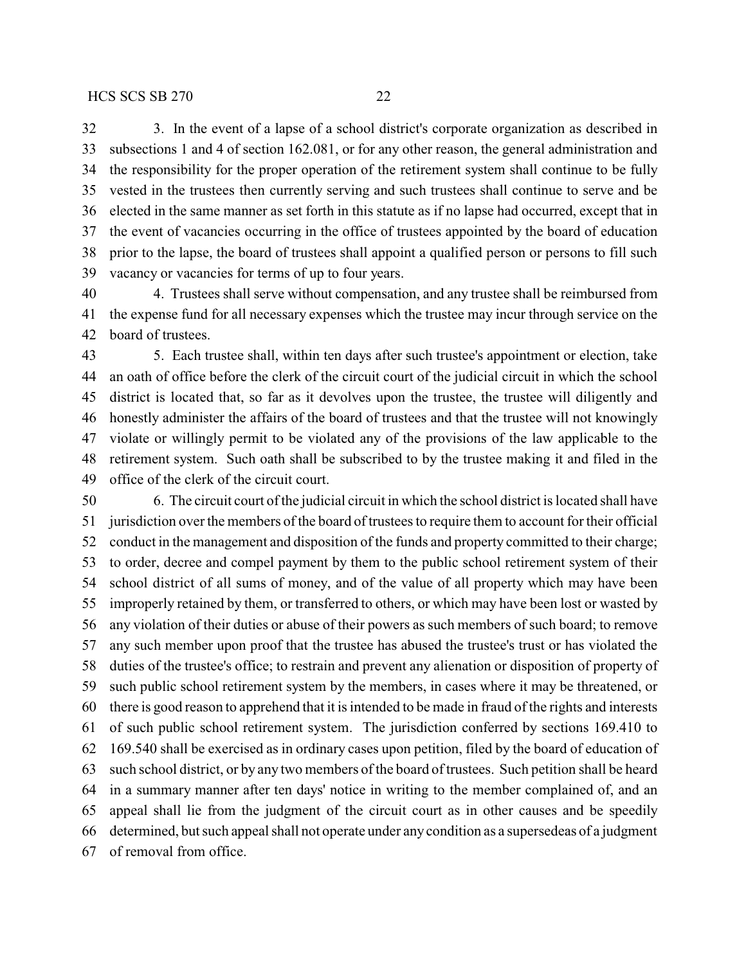3. In the event of a lapse of a school district's corporate organization as described in subsections 1 and 4 of section 162.081, or for any other reason, the general administration and the responsibility for the proper operation of the retirement system shall continue to be fully vested in the trustees then currently serving and such trustees shall continue to serve and be elected in the same manner as set forth in this statute as if no lapse had occurred, except that in the event of vacancies occurring in the office of trustees appointed by the board of education prior to the lapse, the board of trustees shall appoint a qualified person or persons to fill such vacancy or vacancies for terms of up to four years.

 4. Trustees shall serve without compensation, and any trustee shall be reimbursed from the expense fund for all necessary expenses which the trustee may incur through service on the board of trustees.

 5. Each trustee shall, within ten days after such trustee's appointment or election, take an oath of office before the clerk of the circuit court of the judicial circuit in which the school district is located that, so far as it devolves upon the trustee, the trustee will diligently and honestly administer the affairs of the board of trustees and that the trustee will not knowingly violate or willingly permit to be violated any of the provisions of the law applicable to the retirement system. Such oath shall be subscribed to by the trustee making it and filed in the office of the clerk of the circuit court.

 6. The circuit court of the judicial circuit in which the school district is located shall have jurisdiction over the members of the board of trustees to require them to account for their official conduct in the management and disposition of the funds and property committed to their charge; to order, decree and compel payment by them to the public school retirement system of their school district of all sums of money, and of the value of all property which may have been improperly retained by them, or transferred to others, or which may have been lost or wasted by any violation of their duties or abuse of their powers as such members of such board; to remove any such member upon proof that the trustee has abused the trustee's trust or has violated the duties of the trustee's office; to restrain and prevent any alienation or disposition of property of such public school retirement system by the members, in cases where it may be threatened, or there is good reason to apprehend that it is intended to be made in fraud of the rights and interests of such public school retirement system. The jurisdiction conferred by sections 169.410 to 169.540 shall be exercised as in ordinary cases upon petition, filed by the board of education of such school district, or by any two members of the board of trustees. Such petition shall be heard in a summary manner after ten days' notice in writing to the member complained of, and an appeal shall lie from the judgment of the circuit court as in other causes and be speedily determined, but such appeal shall not operate under anycondition as a supersedeas of a judgment of removal from office.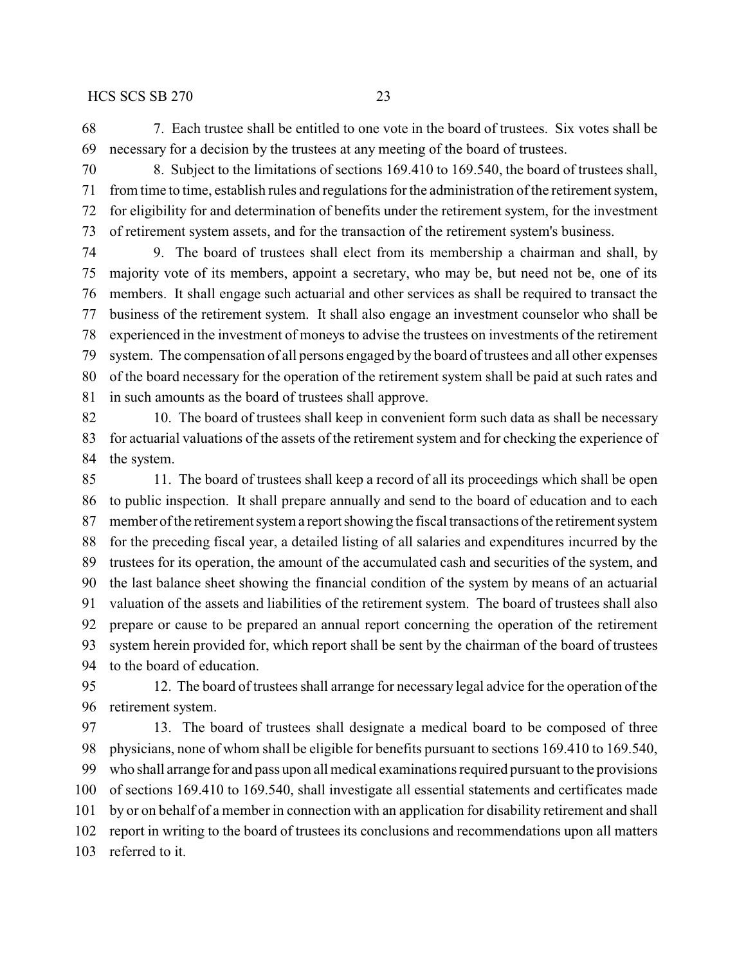7. Each trustee shall be entitled to one vote in the board of trustees. Six votes shall be necessary for a decision by the trustees at any meeting of the board of trustees.

 8. Subject to the limitations of sections 169.410 to 169.540, the board of trustees shall, from time to time, establish rules and regulations for the administration of the retirement system, for eligibility for and determination of benefits under the retirement system, for the investment of retirement system assets, and for the transaction of the retirement system's business.

 9. The board of trustees shall elect from its membership a chairman and shall, by majority vote of its members, appoint a secretary, who may be, but need not be, one of its members. It shall engage such actuarial and other services as shall be required to transact the business of the retirement system. It shall also engage an investment counselor who shall be experienced in the investment of moneys to advise the trustees on investments of the retirement system. The compensation of all persons engaged by the board of trustees and all other expenses of the board necessary for the operation of the retirement system shall be paid at such rates and in such amounts as the board of trustees shall approve.

 10. The board of trustees shall keep in convenient form such data as shall be necessary for actuarial valuations of the assets of the retirement system and for checking the experience of the system.

 11. The board of trustees shall keep a record of all its proceedings which shall be open to public inspection. It shall prepare annually and send to the board of education and to each member of the retirement system a report showing the fiscal transactions of the retirement system for the preceding fiscal year, a detailed listing of all salaries and expenditures incurred by the trustees for its operation, the amount of the accumulated cash and securities of the system, and the last balance sheet showing the financial condition of the system by means of an actuarial valuation of the assets and liabilities of the retirement system. The board of trustees shall also prepare or cause to be prepared an annual report concerning the operation of the retirement system herein provided for, which report shall be sent by the chairman of the board of trustees to the board of education.

 12. The board of trustees shall arrange for necessary legal advice for the operation of the retirement system.

 13. The board of trustees shall designate a medical board to be composed of three physicians, none of whom shall be eligible for benefits pursuant to sections 169.410 to 169.540, who shall arrange for and pass upon all medical examinations required pursuant to the provisions of sections 169.410 to 169.540, shall investigate all essential statements and certificates made by or on behalf of a member in connection with an application for disability retirement and shall report in writing to the board of trustees its conclusions and recommendations upon all matters referred to it.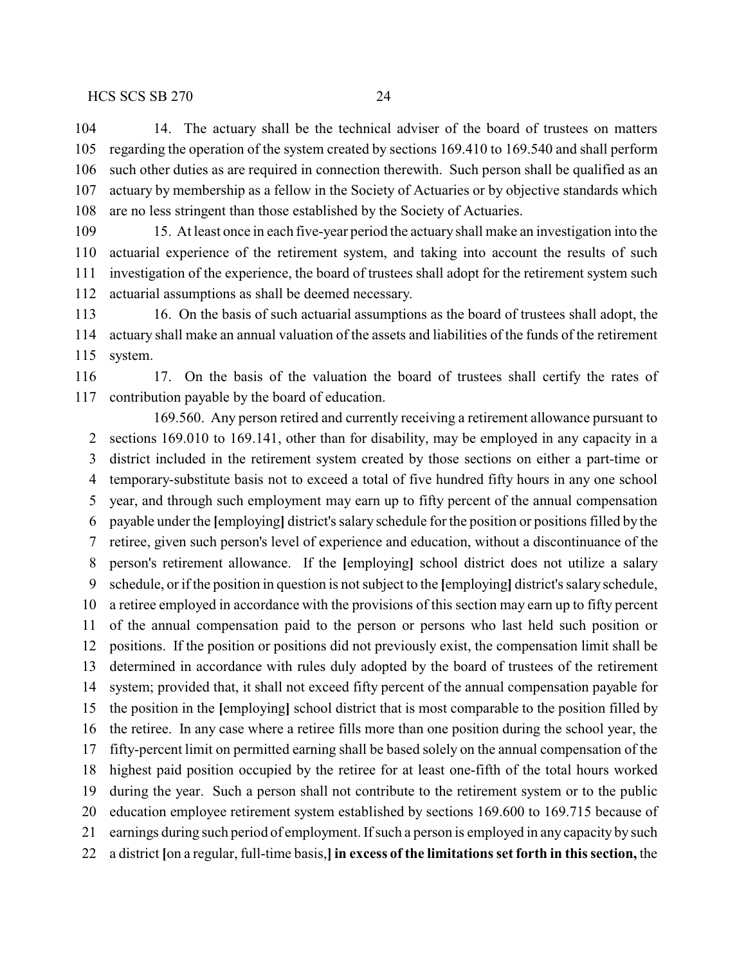14. The actuary shall be the technical adviser of the board of trustees on matters regarding the operation of the system created by sections 169.410 to 169.540 and shall perform such other duties as are required in connection therewith. Such person shall be qualified as an actuary by membership as a fellow in the Society of Actuaries or by objective standards which are no less stringent than those established by the Society of Actuaries.

 15. At least once in each five-year period the actuary shall make an investigation into the actuarial experience of the retirement system, and taking into account the results of such investigation of the experience, the board of trustees shall adopt for the retirement system such actuarial assumptions as shall be deemed necessary.

113 16. On the basis of such actuarial assumptions as the board of trustees shall adopt, the actuary shall make an annual valuation of the assets and liabilities of the funds of the retirement system.

 17. On the basis of the valuation the board of trustees shall certify the rates of contribution payable by the board of education.

169.560. Any person retired and currently receiving a retirement allowance pursuant to sections 169.010 to 169.141, other than for disability, may be employed in any capacity in a district included in the retirement system created by those sections on either a part-time or temporary-substitute basis not to exceed a total of five hundred fifty hours in any one school year, and through such employment may earn up to fifty percent of the annual compensation payable under the **[**employing**]** district's salary schedule for the position or positions filled by the retiree, given such person's level of experience and education, without a discontinuance of the person's retirement allowance. If the **[**employing**]** school district does not utilize a salary schedule, or if the position in question is not subject to the **[**employing**]** district's salary schedule, a retiree employed in accordance with the provisions of this section may earn up to fifty percent of the annual compensation paid to the person or persons who last held such position or positions. If the position or positions did not previously exist, the compensation limit shall be determined in accordance with rules duly adopted by the board of trustees of the retirement system; provided that, it shall not exceed fifty percent of the annual compensation payable for the position in the **[**employing**]** school district that is most comparable to the position filled by the retiree. In any case where a retiree fills more than one position during the school year, the fifty-percent limit on permitted earning shall be based solely on the annual compensation of the highest paid position occupied by the retiree for at least one-fifth of the total hours worked during the year. Such a person shall not contribute to the retirement system or to the public education employee retirement system established by sections 169.600 to 169.715 because of earnings during such period of employment. Ifsuch a person is employed in any capacity by such a district **[**on a regular, full-time basis,**] in excess of the limitations set forth in this section,** the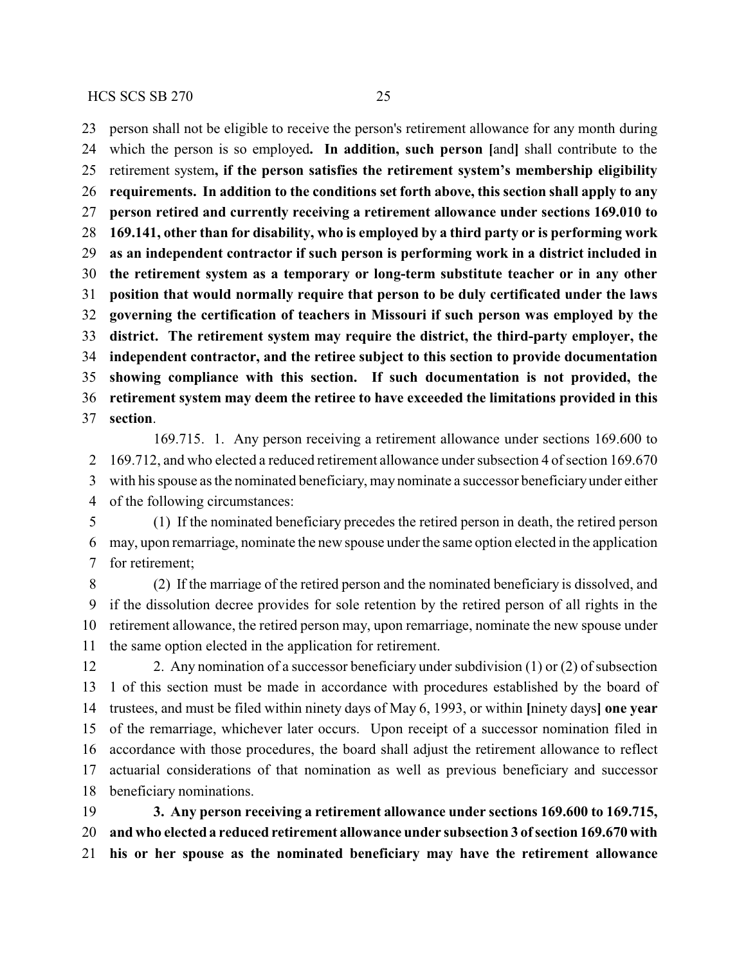person shall not be eligible to receive the person's retirement allowance for any month during which the person is so employed**. In addition, such person [**and**]** shall contribute to the retirement system**, if the person satisfies the retirement system's membership eligibility requirements. In addition to the conditions set forth above, this section shall apply to any person retired and currently receiving a retirement allowance under sections 169.010 to 169.141, other than for disability, who is employed by a third party or is performing work as an independent contractor if such person is performing work in a district included in the retirement system as a temporary or long-term substitute teacher or in any other position that would normally require that person to be duly certificated under the laws governing the certification of teachers in Missouri if such person was employed by the district. The retirement system may require the district, the third-party employer, the independent contractor, and the retiree subject to this section to provide documentation showing compliance with this section. If such documentation is not provided, the retirement system may deem the retiree to have exceeded the limitations provided in this section**.

169.715. 1. Any person receiving a retirement allowance under sections 169.600 to 169.712, and who elected a reduced retirement allowance under subsection 4 of section 169.670 with his spouse as the nominated beneficiary, may nominate a successor beneficiaryunder either of the following circumstances:

 (1) If the nominated beneficiary precedes the retired person in death, the retired person may, upon remarriage, nominate the new spouse under the same option elected in the application for retirement;

 (2) If the marriage of the retired person and the nominated beneficiary is dissolved, and if the dissolution decree provides for sole retention by the retired person of all rights in the retirement allowance, the retired person may, upon remarriage, nominate the new spouse under the same option elected in the application for retirement.

 2. Any nomination of a successor beneficiary under subdivision (1) or (2) of subsection 1 of this section must be made in accordance with procedures established by the board of trustees, and must be filed within ninety days of May 6, 1993, or within **[**ninety days**] one year** of the remarriage, whichever later occurs. Upon receipt of a successor nomination filed in accordance with those procedures, the board shall adjust the retirement allowance to reflect actuarial considerations of that nomination as well as previous beneficiary and successor beneficiary nominations.

 **3. Any person receiving a retirement allowance under sections 169.600 to 169.715, and who elected a reduced retirement allowance under subsection 3 ofsection 169.670 with his or her spouse as the nominated beneficiary may have the retirement allowance**